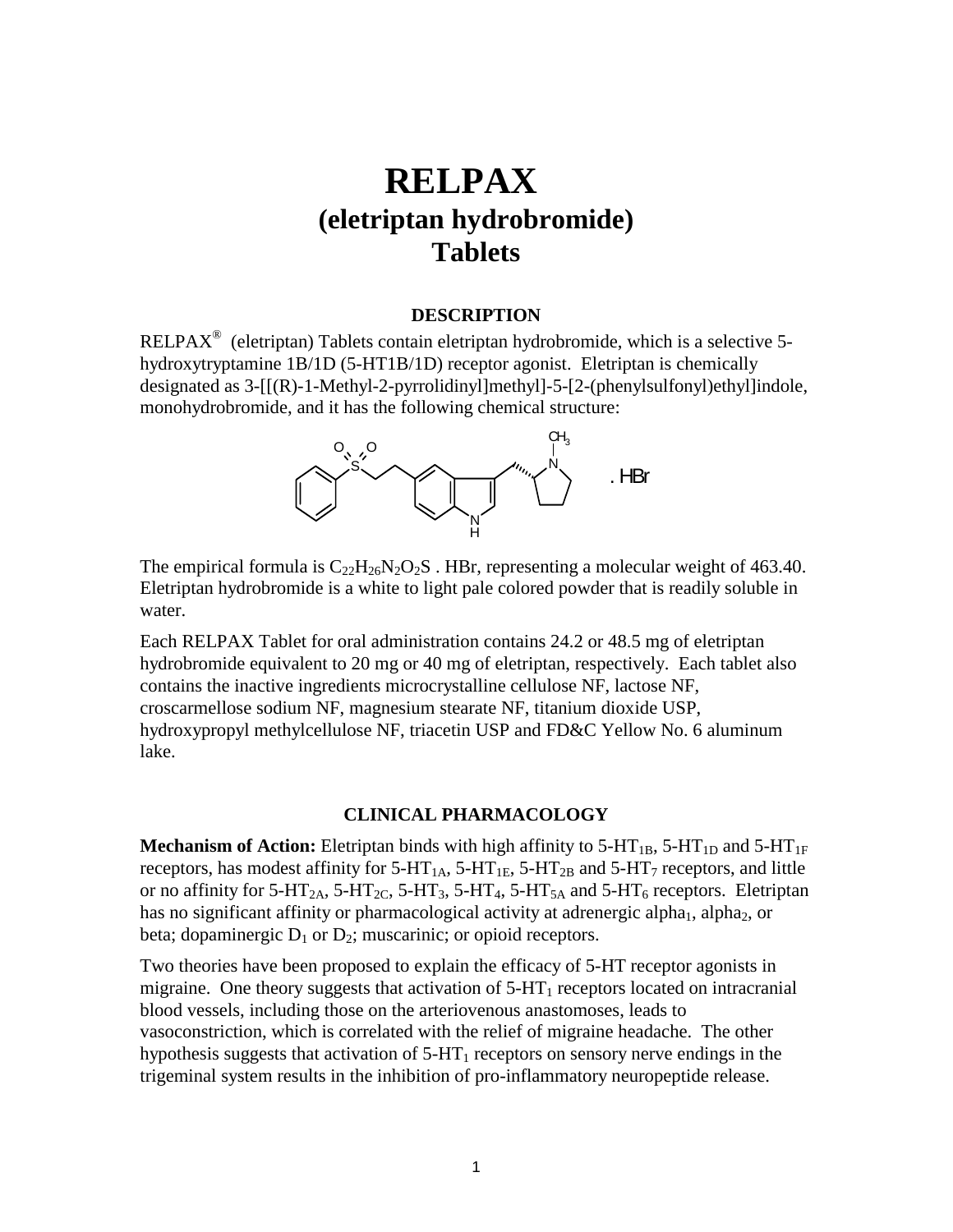# **RELPAX (eletriptan hydrobromide) Tablets**

#### **DESCRIPTION**

RELPAX® (eletriptan) Tablets contain eletriptan hydrobromide, which is a selective 5 hydroxytryptamine 1B/1D (5-HT1B/1D) receptor agonist. Eletriptan is chemically designated as 3-[[(R)-1-Methyl-2-pyrrolidinyl]methyl]-5-[2-(phenylsulfonyl)ethyl]indole, monohydrobromide, and it has the following chemical structure:



The empirical formula is  $C_{22}H_{26}N_2O_2S$ . HBr, representing a molecular weight of 463.40. Eletriptan hydrobromide is a white to light pale colored powder that is readily soluble in water.

Each RELPAX Tablet for oral administration contains 24.2 or 48.5 mg of eletriptan hydrobromide equivalent to 20 mg or 40 mg of eletriptan, respectively. Each tablet also contains the inactive ingredients microcrystalline cellulose NF, lactose NF, croscarmellose sodium NF, magnesium stearate NF, titanium dioxide USP, hydroxypropyl methylcellulose NF, triacetin USP and FD&C Yellow No. 6 aluminum lake.

#### **CLINICAL PHARMACOLOGY**

**Mechanism of Action:** Eletriptan binds with high affinity to  $5-HT_{1B}$ ,  $5-HT_{1D}$  and  $5-HT_{1F}$ receptors, has modest affinity for  $5-HT_{1A}$ ,  $5-HT_{1E}$ ,  $5-HT_{2B}$  and  $5-HT_7$  receptors, and little or no affinity for 5-HT<sub>2A</sub>, 5-HT<sub>2C</sub>, 5-HT<sub>3</sub>, 5-HT<sub>4</sub>, 5-HT<sub>5A</sub> and 5-HT<sub>6</sub> receptors. Eletriptan has no significant affinity or pharmacological activity at adrenergic alpha<sub>1</sub>, alpha<sub>2</sub>, or beta; dopaminergic  $D_1$  or  $D_2$ ; muscarinic; or opioid receptors.

Two theories have been proposed to explain the efficacy of 5-HT receptor agonists in migraine. One theory suggests that activation of  $5-HT<sub>1</sub>$  receptors located on intracranial blood vessels, including those on the arteriovenous anastomoses, leads to vasoconstriction, which is correlated with the relief of migraine headache. The other hypothesis suggests that activation of  $5-HT_1$  receptors on sensory nerve endings in the trigeminal system results in the inhibition of pro-inflammatory neuropeptide release.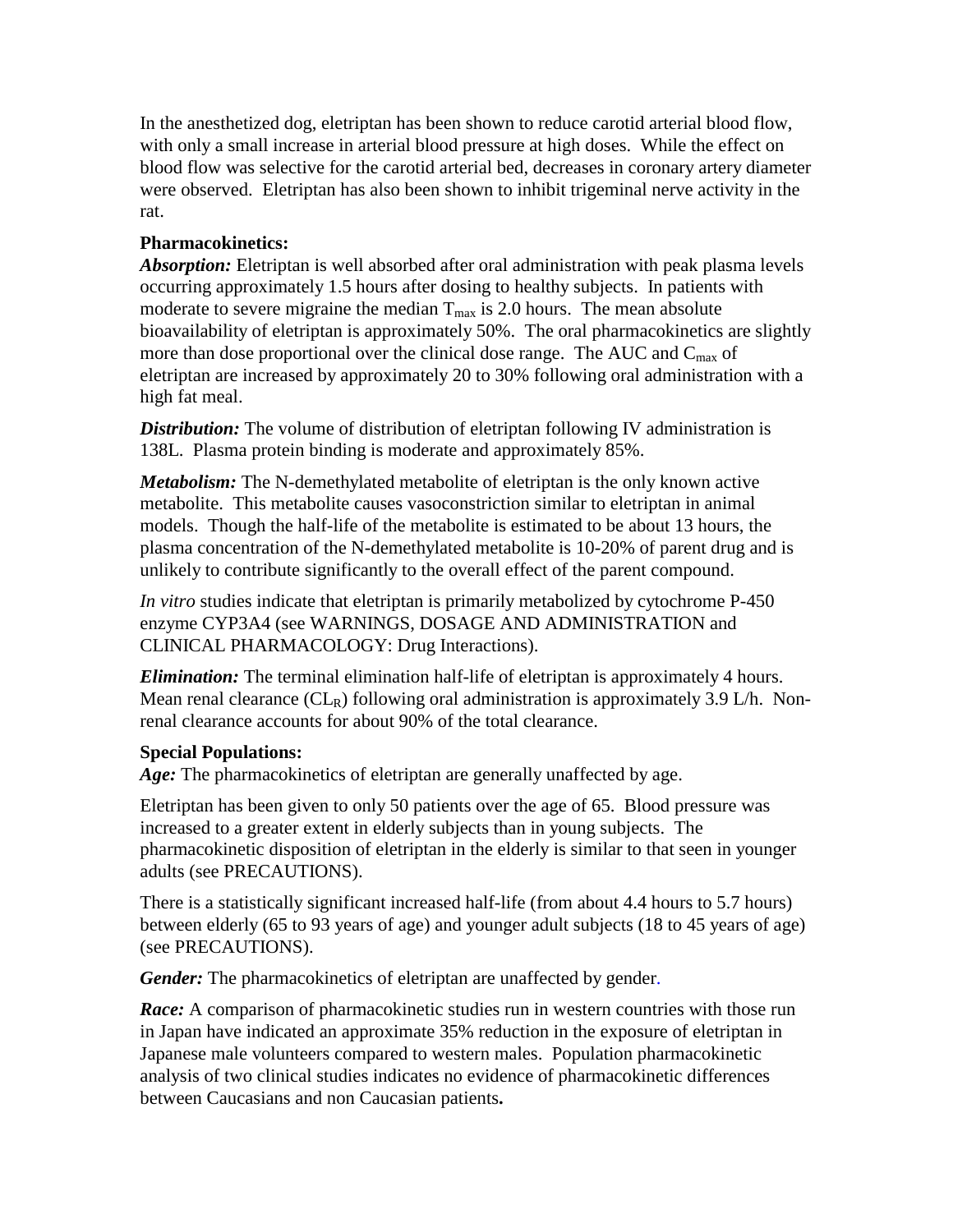In the anesthetized dog, eletriptan has been shown to reduce carotid arterial blood flow, with only a small increase in arterial blood pressure at high doses. While the effect on blood flow was selective for the carotid arterial bed, decreases in coronary artery diameter were observed. Eletriptan has also been shown to inhibit trigeminal nerve activity in the rat.

#### **Pharmacokinetics:**

*Absorption:* Eletriptan is well absorbed after oral administration with peak plasma levels occurring approximately 1.5 hours after dosing to healthy subjects. In patients with moderate to severe migraine the median  $T_{\text{max}}$  is 2.0 hours. The mean absolute bioavailability of eletriptan is approximately 50%. The oral pharmacokinetics are slightly more than dose proportional over the clinical dose range. The AUC and  $C_{\text{max}}$  of eletriptan are increased by approximately 20 to 30% following oral administration with a high fat meal.

**Distribution:** The volume of distribution of eletriptan following IV administration is 138L. Plasma protein binding is moderate and approximately 85%.

*Metabolism:* The N-demethylated metabolite of eletriptan is the only known active metabolite. This metabolite causes vasoconstriction similar to eletriptan in animal models. Though the half-life of the metabolite is estimated to be about 13 hours, the plasma concentration of the N-demethylated metabolite is 10-20% of parent drug and is unlikely to contribute significantly to the overall effect of the parent compound.

*In vitro* studies indicate that eletriptan is primarily metabolized by cytochrome P-450 enzyme CYP3A4 (see WARNINGS, DOSAGE AND ADMINISTRATION and CLINICAL PHARMACOLOGY: Drug Interactions).

*Elimination:* The terminal elimination half-life of eletriptan is approximately 4 hours. Mean renal clearance  $CL_R$ ) following oral administration is approximately 3.9 L/h. Nonrenal clearance accounts for about 90% of the total clearance.

#### **Special Populations:**

Age: The pharmacokinetics of eletriptan are generally unaffected by age.

Eletriptan has been given to only 50 patients over the age of 65. Blood pressure was increased to a greater extent in elderly subjects than in young subjects. The pharmacokinetic disposition of eletriptan in the elderly is similar to that seen in younger adults (see PRECAUTIONS).

There is a statistically significant increased half-life (from about 4.4 hours to 5.7 hours) between elderly (65 to 93 years of age) and younger adult subjects (18 to 45 years of age) (see PRECAUTIONS).

*Gender:* The pharmacokinetics of eletriptan are unaffected by gender.

*Race:* A comparison of pharmacokinetic studies run in western countries with those run in Japan have indicated an approximate 35% reduction in the exposure of eletriptan in Japanese male volunteers compared to western males. Population pharmacokinetic analysis of two clinical studies indicates no evidence of pharmacokinetic differences between Caucasians and non Caucasian patients**.**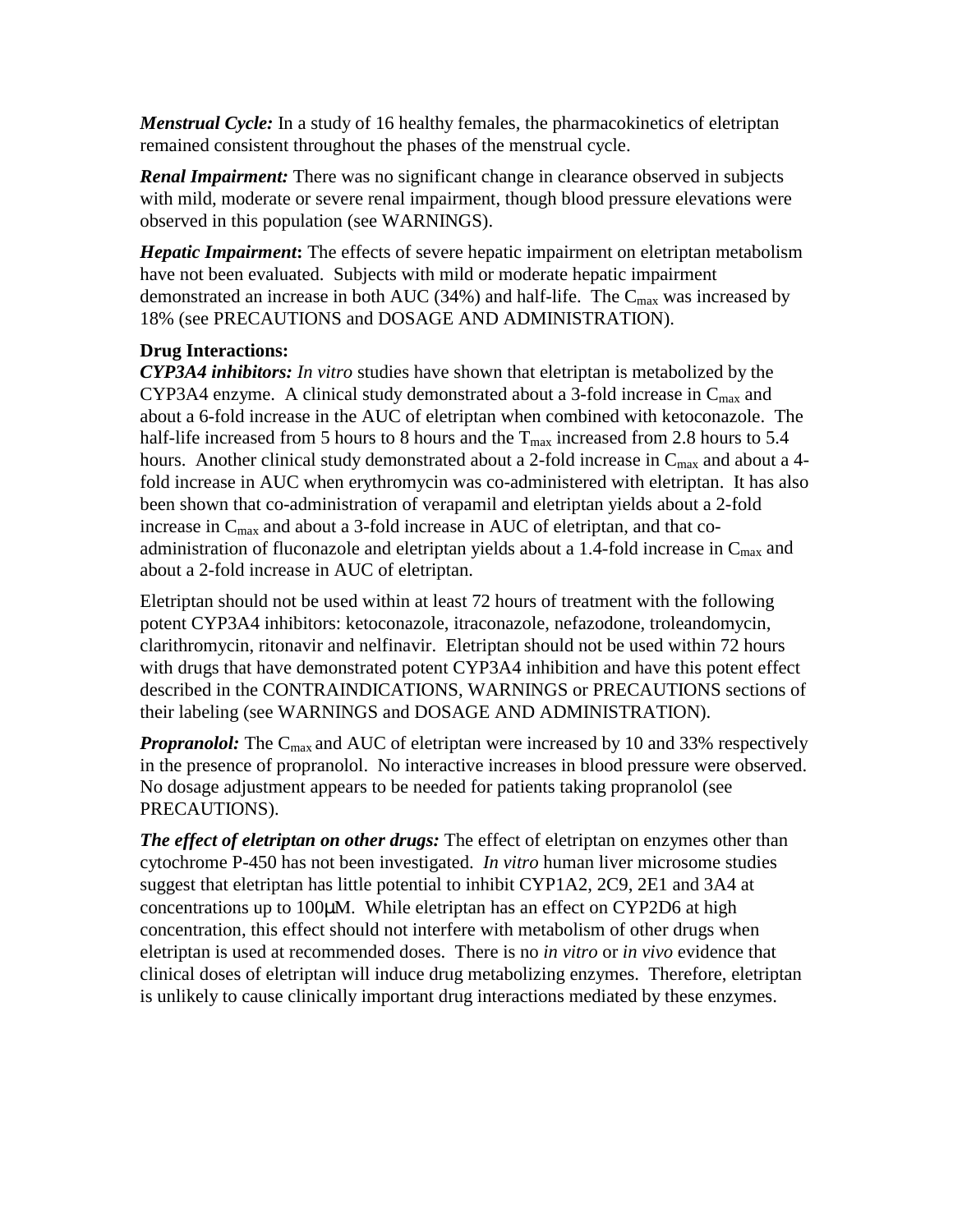*Menstrual Cycle:* In a study of 16 healthy females, the pharmacokinetics of eletriptan remained consistent throughout the phases of the menstrual cycle.

*Renal Impairment:* There was no significant change in clearance observed in subjects with mild, moderate or severe renal impairment, though blood pressure elevations were observed in this population (see WARNINGS).

*Hepatic Impairment***:** The effects of severe hepatic impairment on eletriptan metabolism have not been evaluated. Subjects with mild or moderate hepatic impairment demonstrated an increase in both AUC (34%) and half-life. The  $C_{\text{max}}$  was increased by 18% (see PRECAUTIONS and DOSAGE AND ADMINISTRATION).

#### **Drug Interactions:**

*CYP3A4 inhibitors: In vitro* studies have shown that eletriptan is metabolized by the CYP3A4 enzyme. A clinical study demonstrated about a 3-fold increase in  $C_{\text{max}}$  and about a 6-fold increase in the AUC of eletriptan when combined with ketoconazole. The half-life increased from 5 hours to 8 hours and the  $T_{\text{max}}$  increased from 2.8 hours to 5.4 hours. Another clinical study demonstrated about a 2-fold increase in  $C_{\text{max}}$  and about a 4fold increase in AUC when erythromycin was co-administered with eletriptan. It has also been shown that co-administration of verapamil and eletriptan yields about a 2-fold increase in  $C_{\text{max}}$  and about a 3-fold increase in AUC of eletriptan, and that coadministration of fluconazole and eletriptan yields about a 1.4-fold increase in  $C_{\text{max}}$  and about a 2-fold increase in AUC of eletriptan.

Eletriptan should not be used within at least 72 hours of treatment with the following potent CYP3A4 inhibitors: ketoconazole, itraconazole, nefazodone, troleandomycin, clarithromycin, ritonavir and nelfinavir. Eletriptan should not be used within 72 hours with drugs that have demonstrated potent CYP3A4 inhibition and have this potent effect described in the CONTRAINDICATIONS, WARNINGS or PRECAUTIONS sections of their labeling (see WARNINGS and DOSAGE AND ADMINISTRATION).

*Propranolol:* The C<sub>max</sub> and AUC of eletriptan were increased by 10 and 33% respectively in the presence of propranolol. No interactive increases in blood pressure were observed. No dosage adjustment appears to be needed for patients taking propranolol (see PRECAUTIONS).

*The effect of eletriptan on other drugs:* The effect of eletriptan on enzymes other than cytochrome P-450 has not been investigated. *In vitro* human liver microsome studies suggest that eletriptan has little potential to inhibit CYP1A2, 2C9, 2E1 and 3A4 at concentrations up to 100µM. While eletriptan has an effect on CYP2D6 at high concentration, this effect should not interfere with metabolism of other drugs when eletriptan is used at recommended doses. There is no *in vitro* or *in vivo* evidence that clinical doses of eletriptan will induce drug metabolizing enzymes. Therefore, eletriptan is unlikely to cause clinically important drug interactions mediated by these enzymes.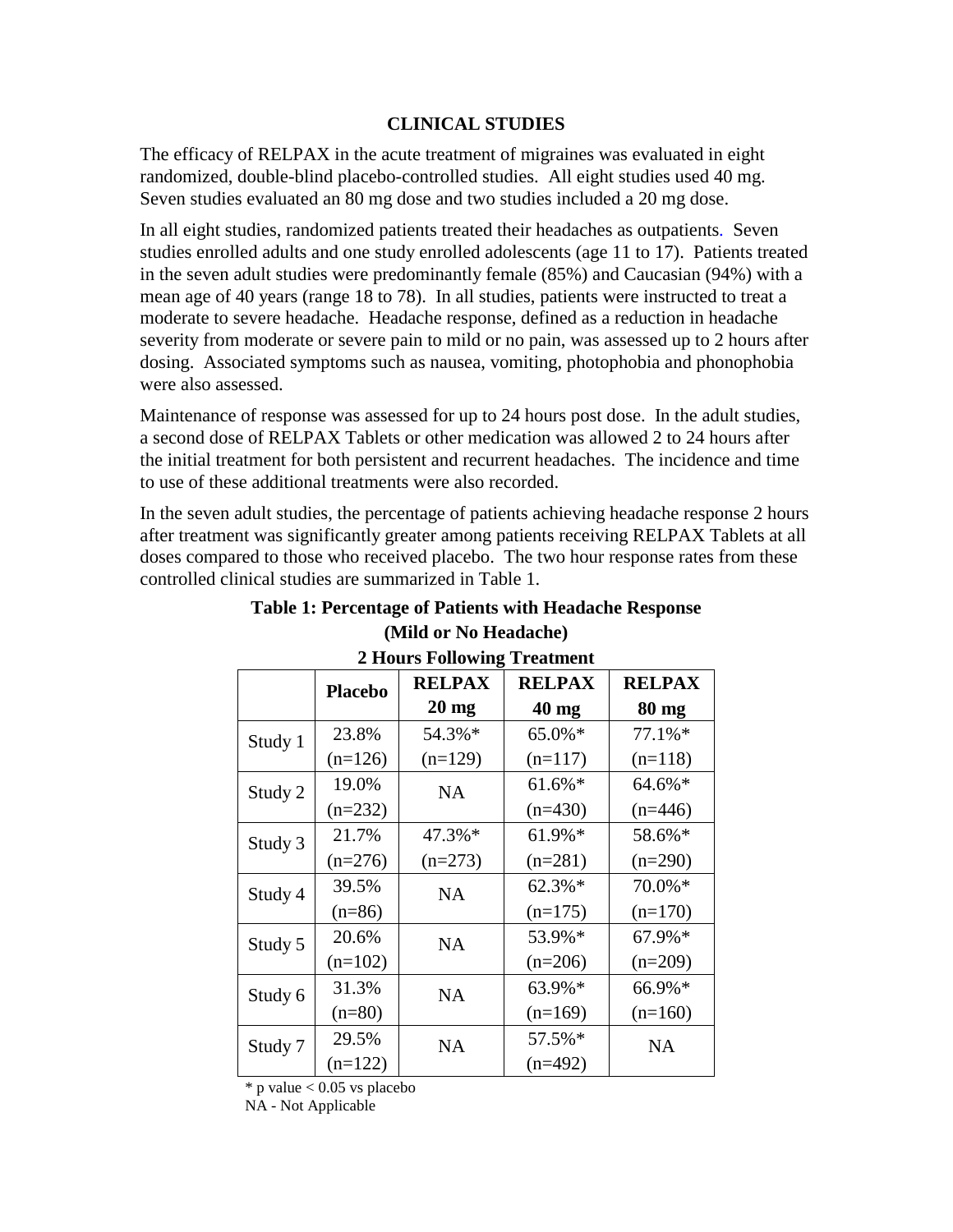#### **CLINICAL STUDIES**

The efficacy of RELPAX in the acute treatment of migraines was evaluated in eight randomized, double-blind placebo-controlled studies. All eight studies used 40 mg. Seven studies evaluated an 80 mg dose and two studies included a 20 mg dose.

In all eight studies, randomized patients treated their headaches as outpatients. Seven studies enrolled adults and one study enrolled adolescents (age 11 to 17). Patients treated in the seven adult studies were predominantly female (85%) and Caucasian (94%) with a mean age of 40 years (range 18 to 78). In all studies, patients were instructed to treat a moderate to severe headache. Headache response, defined as a reduction in headache severity from moderate or severe pain to mild or no pain, was assessed up to 2 hours after dosing. Associated symptoms such as nausea, vomiting, photophobia and phonophobia were also assessed.

Maintenance of response was assessed for up to 24 hours post dose. In the adult studies, a second dose of RELPAX Tablets or other medication was allowed 2 to 24 hours after the initial treatment for both persistent and recurrent headaches. The incidence and time to use of these additional treatments were also recorded.

In the seven adult studies, the percentage of patients achieving headache response 2 hours after treatment was significantly greater among patients receiving RELPAX Tablets at all doses compared to those who received placebo. The two hour response rates from these controlled clinical studies are summarized in Table 1.

#### **2 Hours Following Treatment Placebo RELPAX 20 mg RELPAX 40 mg RELPAX 80 mg**  Study 1  $23.8\%$  $(n=126)$ 54.3%\*  $(n=129)$ 65.0%\*  $(n=117)$ 77.1%\*  $(n=118)$ Study 2  $19.0\%$  $(n=232)$ NA 61.6%\*  $(n=430)$ 64.6%\*  $(n=446)$ Study 3  $\Big| 21.7\%$  $(n=276)$ 47.3%\*  $(n=273)$ 61.9%\*  $(n=281)$ 58.6%\*  $(n=290)$ Study 4  $39.5\%$  $(n=86)$ NA 62.3%\*  $(n=175)$ 70.0%\*  $(n=170)$ Study 5  $\vert$  20.6%  $(n=102)$ NA 53.9%\*  $(n=206)$ 67.9%\*  $(n=209)$ Study 6  $31.3\%$  $(n=80)$ NA 63.9%\*  $(n=169)$ 66.9%\*  $(n=160)$ Study 7  $29.5\%$  $(n=122)$  $NA$  57.5%\*  $(n=492)$ NA

#### **Table 1: Percentage of Patients with Headache Response (Mild or No Headache)**

 $*$  p value  $< 0.05$  vs placebo

NA - Not Applicable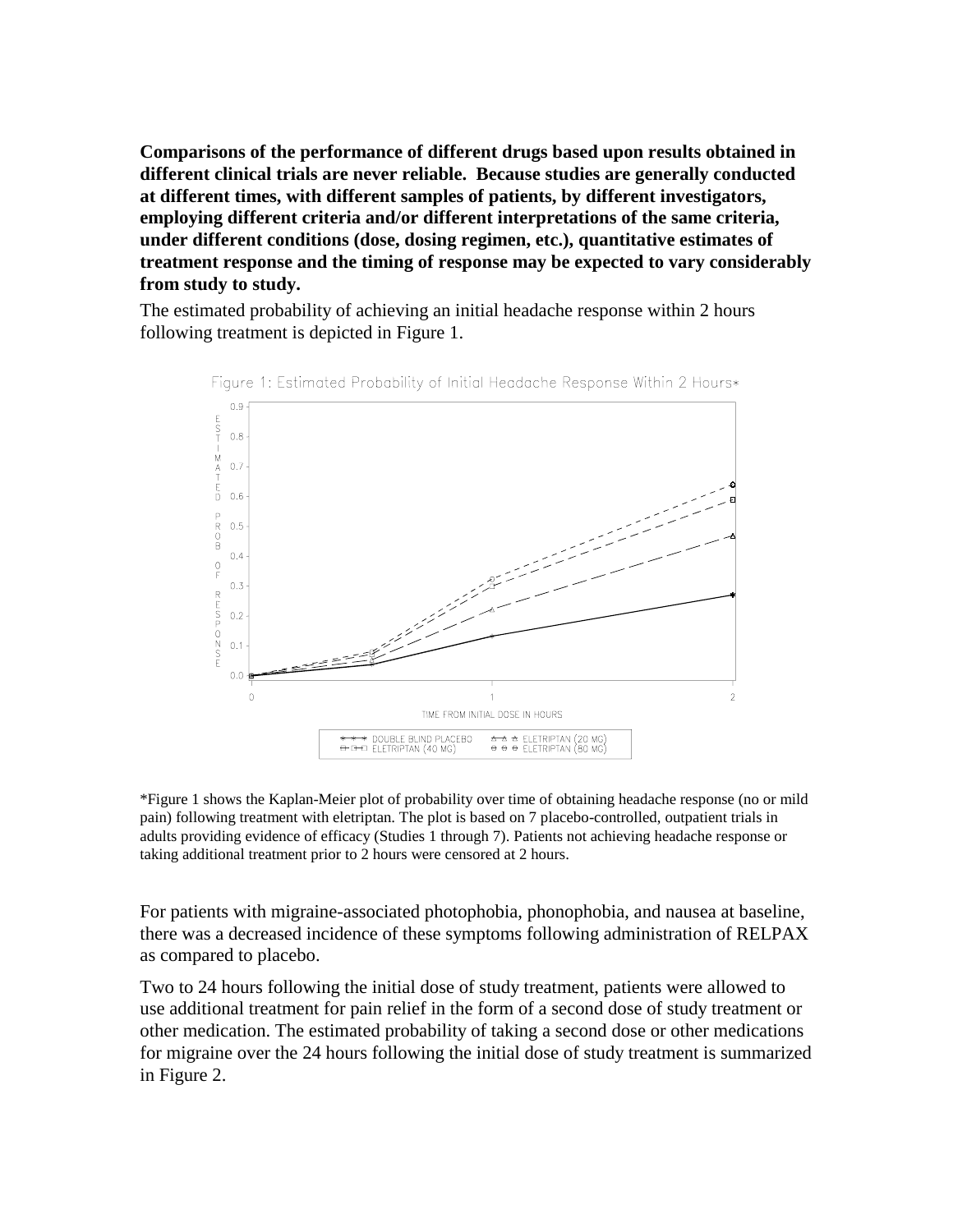**Comparisons of the performance of different drugs based upon results obtained in different clinical trials are never reliable. Because studies are generally conducted at different times, with different samples of patients, by different investigators, employing different criteria and/or different interpretations of the same criteria, under different conditions (dose, dosing regimen, etc.), quantitative estimates of treatment response and the timing of response may be expected to vary considerably from study to study.** 

The estimated probability of achieving an initial headache response within 2 hours following treatment is depicted in Figure 1.



Figure 1: Estimated Probability of Initial Headache Response Within 2 Hours\*

\*Figure 1 shows the Kaplan-Meier plot of probability over time of obtaining headache response (no or mild pain) following treatment with eletriptan. The plot is based on 7 placebo-controlled, outpatient trials in adults providing evidence of efficacy (Studies 1 through 7). Patients not achieving headache response or taking additional treatment prior to 2 hours were censored at 2 hours.

For patients with migraine-associated photophobia, phonophobia, and nausea at baseline, there was a decreased incidence of these symptoms following administration of RELPAX as compared to placebo.

Two to 24 hours following the initial dose of study treatment, patients were allowed to use additional treatment for pain relief in the form of a second dose of study treatment or other medication. The estimated probability of taking a second dose or other medications for migraine over the 24 hours following the initial dose of study treatment is summarized in Figure 2.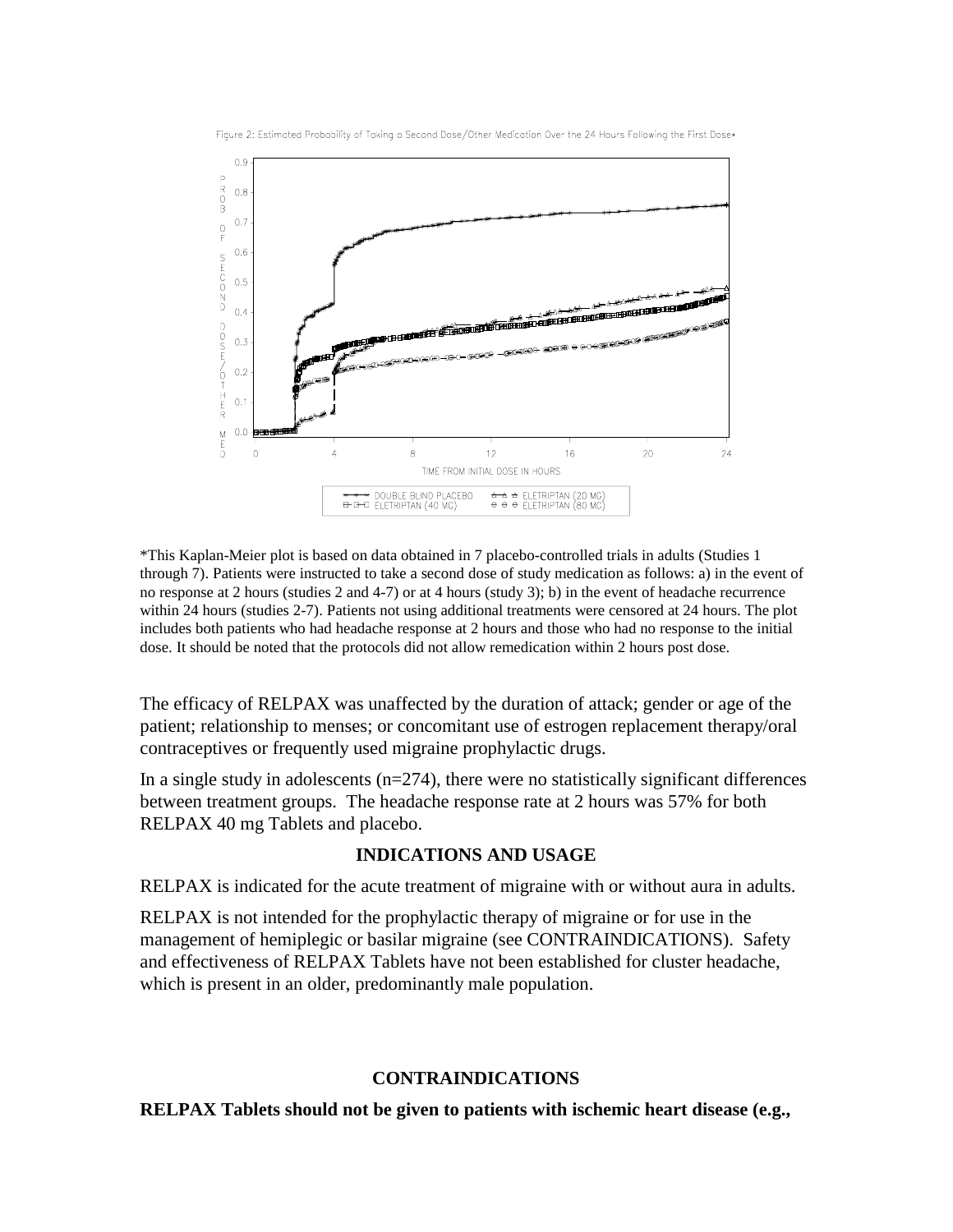

Figure 2: Estimated Probability of Taking a Second Dose/Other Medication Over the 24 Hours Following the First Dose\*

\*This Kaplan-Meier plot is based on data obtained in 7 placebo-controlled trials in adults (Studies 1 through 7). Patients were instructed to take a second dose of study medication as follows: a) in the event of no response at 2 hours (studies 2 and 4-7) or at 4 hours (study 3); b) in the event of headache recurrence within 24 hours (studies 2-7). Patients not using additional treatments were censored at 24 hours. The plot includes both patients who had headache response at 2 hours and those who had no response to the initial dose. It should be noted that the protocols did not allow remedication within 2 hours post dose.

The efficacy of RELPAX was unaffected by the duration of attack; gender or age of the patient; relationship to menses; or concomitant use of estrogen replacement therapy/oral contraceptives or frequently used migraine prophylactic drugs.

In a single study in adolescents  $(n=274)$ , there were no statistically significant differences between treatment groups. The headache response rate at 2 hours was 57% for both RELPAX 40 mg Tablets and placebo.

#### **INDICATIONS AND USAGE**

RELPAX is indicated for the acute treatment of migraine with or without aura in adults.

RELPAX is not intended for the prophylactic therapy of migraine or for use in the management of hemiplegic or basilar migraine (see CONTRAINDICATIONS). Safety and effectiveness of RELPAX Tablets have not been established for cluster headache, which is present in an older, predominantly male population.

#### **CONTRAINDICATIONS**

**RELPAX Tablets should not be given to patients with ischemic heart disease (e.g.,**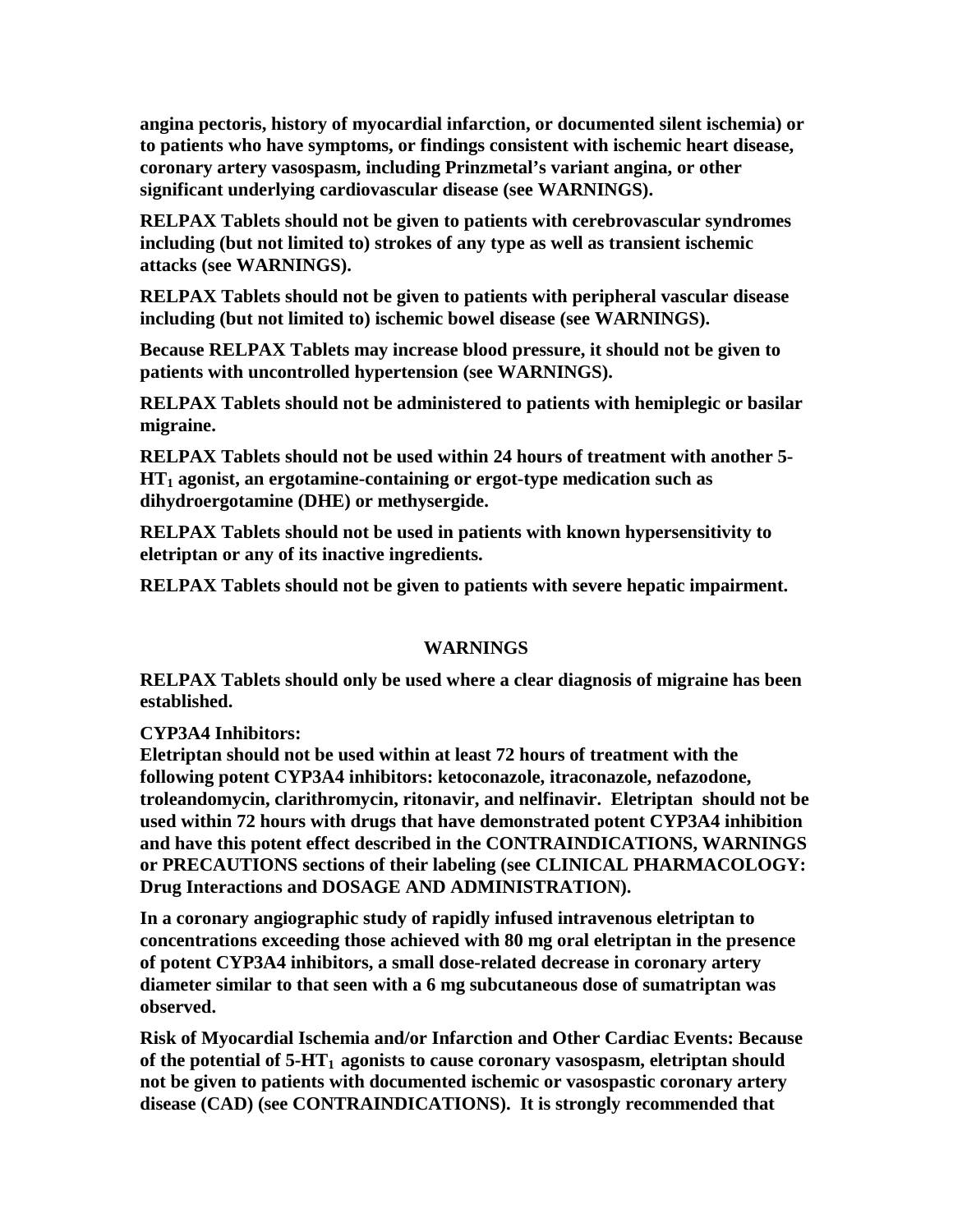**angina pectoris, history of myocardial infarction, or documented silent ischemia) or to patients who have symptoms, or findings consistent with ischemic heart disease, coronary artery vasospasm, including Prinzmetal's variant angina, or other significant underlying cardiovascular disease (see WARNINGS).** 

**RELPAX Tablets should not be given to patients with cerebrovascular syndromes including (but not limited to) strokes of any type as well as transient ischemic attacks (see WARNINGS).** 

**RELPAX Tablets should not be given to patients with peripheral vascular disease including (but not limited to) ischemic bowel disease (see WARNINGS).** 

**Because RELPAX Tablets may increase blood pressure, it should not be given to patients with uncontrolled hypertension (see WARNINGS).** 

**RELPAX Tablets should not be administered to patients with hemiplegic or basilar migraine.** 

**RELPAX Tablets should not be used within 24 hours of treatment with another 5- HT1 agonist, an ergotamine-containing or ergot-type medication such as dihydroergotamine (DHE) or methysergide.** 

**RELPAX Tablets should not be used in patients with known hypersensitivity to eletriptan or any of its inactive ingredients.** 

**RELPAX Tablets should not be given to patients with severe hepatic impairment.** 

#### **WARNINGS**

**RELPAX Tablets should only be used where a clear diagnosis of migraine has been established.** 

**CYP3A4 Inhibitors:** 

**Eletriptan should not be used within at least 72 hours of treatment with the following potent CYP3A4 inhibitors: ketoconazole, itraconazole, nefazodone, troleandomycin, clarithromycin, ritonavir, and nelfinavir. Eletriptan should not be used within 72 hours with drugs that have demonstrated potent CYP3A4 inhibition and have this potent effect described in the CONTRAINDICATIONS, WARNINGS or PRECAUTIONS sections of their labeling (see CLINICAL PHARMACOLOGY: Drug Interactions and DOSAGE AND ADMINISTRATION).** 

**In a coronary angiographic study of rapidly infused intravenous eletriptan to concentrations exceeding those achieved with 80 mg oral eletriptan in the presence of potent CYP3A4 inhibitors, a small dose-related decrease in coronary artery diameter similar to that seen with a 6 mg subcutaneous dose of sumatriptan was observed.** 

**Risk of Myocardial Ischemia and/or Infarction and Other Cardiac Events: Because**  of the potential of 5-HT<sub>1</sub> agonists to cause coronary vasospasm, eletriptan should **not be given to patients with documented ischemic or vasospastic coronary artery disease (CAD) (see CONTRAINDICATIONS). It is strongly recommended that**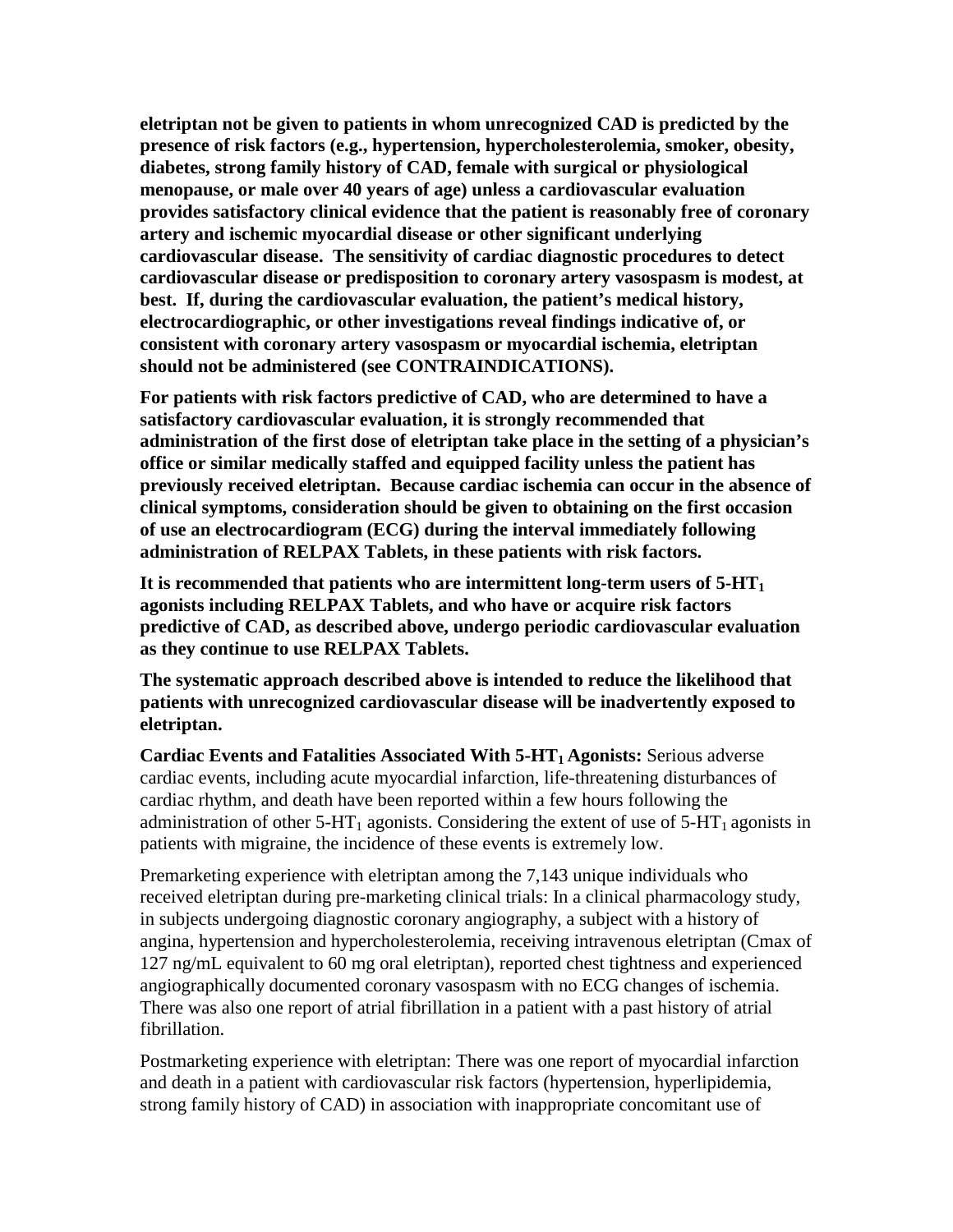**eletriptan not be given to patients in whom unrecognized CAD is predicted by the presence of risk factors (e.g., hypertension, hypercholesterolemia, smoker, obesity, diabetes, strong family history of CAD, female with surgical or physiological menopause, or male over 40 years of age) unless a cardiovascular evaluation provides satisfactory clinical evidence that the patient is reasonably free of coronary artery and ischemic myocardial disease or other significant underlying cardiovascular disease. The sensitivity of cardiac diagnostic procedures to detect cardiovascular disease or predisposition to coronary artery vasospasm is modest, at best. If, during the cardiovascular evaluation, the patient's medical history, electrocardiographic, or other investigations reveal findings indicative of, or consistent with coronary artery vasospasm or myocardial ischemia, eletriptan should not be administered (see CONTRAINDICATIONS).**

**For patients with risk factors predictive of CAD, who are determined to have a satisfactory cardiovascular evaluation, it is strongly recommended that administration of the first dose of eletriptan take place in the setting of a physician's office or similar medically staffed and equipped facility unless the patient has previously received eletriptan. Because cardiac ischemia can occur in the absence of clinical symptoms, consideration should be given to obtaining on the first occasion of use an electrocardiogram (ECG) during the interval immediately following administration of RELPAX Tablets, in these patients with risk factors.**

**It is recommended that patients who are intermittent long-term users of 5-HT1 agonists including RELPAX Tablets, and who have or acquire risk factors predictive of CAD, as described above, undergo periodic cardiovascular evaluation as they continue to use RELPAX Tablets.**

**The systematic approach described above is intended to reduce the likelihood that patients with unrecognized cardiovascular disease will be inadvertently exposed to eletriptan.** 

**Cardiac Events and Fatalities Associated With 5-HT<sub>1</sub> Agonists: Serious adverse** cardiac events, including acute myocardial infarction, life-threatening disturbances of cardiac rhythm, and death have been reported within a few hours following the administration of other  $5-HT_1$  agonists. Considering the extent of use of  $5-HT_1$  agonists in patients with migraine, the incidence of these events is extremely low.

Premarketing experience with eletriptan among the 7,143 unique individuals who received eletriptan during pre-marketing clinical trials: In a clinical pharmacology study, in subjects undergoing diagnostic coronary angiography, a subject with a history of angina, hypertension and hypercholesterolemia, receiving intravenous eletriptan (Cmax of 127 ng/mL equivalent to 60 mg oral eletriptan), reported chest tightness and experienced angiographically documented coronary vasospasm with no ECG changes of ischemia. There was also one report of atrial fibrillation in a patient with a past history of atrial fibrillation.

Postmarketing experience with eletriptan: There was one report of myocardial infarction and death in a patient with cardiovascular risk factors (hypertension, hyperlipidemia, strong family history of CAD) in association with inappropriate concomitant use of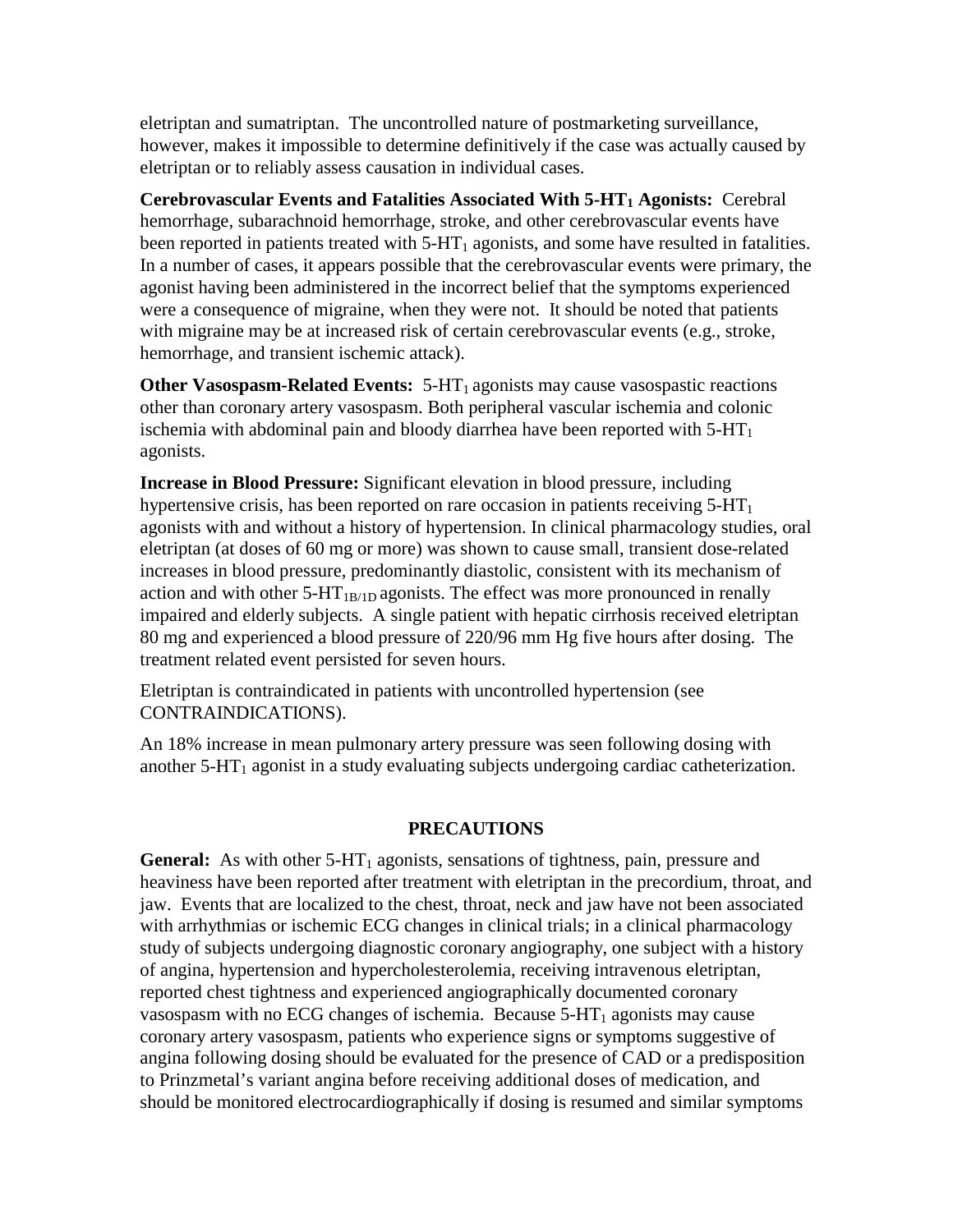eletriptan and sumatriptan. The uncontrolled nature of postmarketing surveillance, however, makes it impossible to determine definitively if the case was actually caused by eletriptan or to reliably assess causation in individual cases.

**Cerebrovascular Events and Fatalities Associated With 5-HT<sub>1</sub> Agonists: Cerebral** hemorrhage, subarachnoid hemorrhage, stroke, and other cerebrovascular events have been reported in patients treated with  $5-HT_1$  agonists, and some have resulted in fatalities. In a number of cases, it appears possible that the cerebrovascular events were primary, the agonist having been administered in the incorrect belief that the symptoms experienced were a consequence of migraine, when they were not. It should be noted that patients with migraine may be at increased risk of certain cerebrovascular events (e.g., stroke, hemorrhage, and transient ischemic attack).

**Other Vasospasm-Related Events:** 5-HT<sub>1</sub> agonists may cause vasospastic reactions other than coronary artery vasospasm. Both peripheral vascular ischemia and colonic ischemia with abdominal pain and bloody diarrhea have been reported with  $5-HT_1$ agonists.

**Increase in Blood Pressure:** Significant elevation in blood pressure, including hypertensive crisis, has been reported on rare occasion in patients receiving  $5-HT_1$ agonists with and without a history of hypertension. In clinical pharmacology studies, oral eletriptan (at doses of 60 mg or more) was shown to cause small, transient dose-related increases in blood pressure, predominantly diastolic, consistent with its mechanism of action and with other  $5-HT_{1B/1D}$  agonists. The effect was more pronounced in renally impaired and elderly subjects. A single patient with hepatic cirrhosis received eletriptan 80 mg and experienced a blood pressure of 220/96 mm Hg five hours after dosing. The treatment related event persisted for seven hours.

Eletriptan is contraindicated in patients with uncontrolled hypertension (see CONTRAINDICATIONS).

An 18% increase in mean pulmonary artery pressure was seen following dosing with another  $5-HT_1$  agonist in a study evaluating subjects undergoing cardiac catheterization.

#### **PRECAUTIONS**

**General:** As with other  $5-HT_1$  agonists, sensations of tightness, pain, pressure and heaviness have been reported after treatment with eletriptan in the precordium, throat, and jaw. Events that are localized to the chest, throat, neck and jaw have not been associated with arrhythmias or ischemic ECG changes in clinical trials; in a clinical pharmacology study of subjects undergoing diagnostic coronary angiography, one subject with a history of angina, hypertension and hypercholesterolemia, receiving intravenous eletriptan, reported chest tightness and experienced angiographically documented coronary vasospasm with no ECG changes of ischemia. Because  $5-HT_1$  agonists may cause coronary artery vasospasm, patients who experience signs or symptoms suggestive of angina following dosing should be evaluated for the presence of CAD or a predisposition to Prinzmetal's variant angina before receiving additional doses of medication, and should be monitored electrocardiographically if dosing is resumed and similar symptoms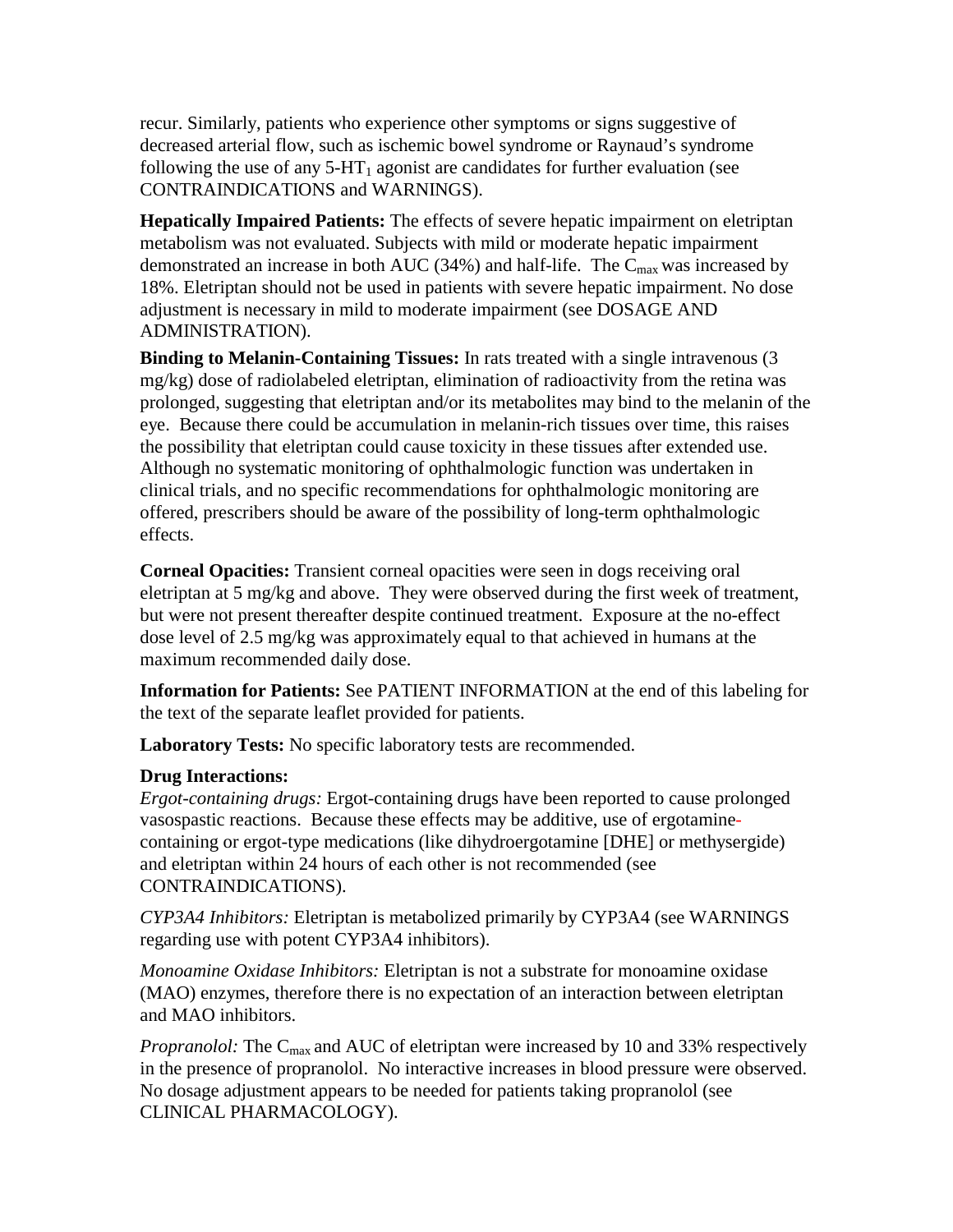recur. Similarly, patients who experience other symptoms or signs suggestive of decreased arterial flow, such as ischemic bowel syndrome or Raynaud's syndrome following the use of any  $5-HT_1$  agonist are candidates for further evaluation (see CONTRAINDICATIONS and WARNINGS).

**Hepatically Impaired Patients:** The effects of severe hepatic impairment on eletriptan metabolism was not evaluated. Subjects with mild or moderate hepatic impairment demonstrated an increase in both AUC (34%) and half-life. The  $C_{\text{max}}$  was increased by 18%. Eletriptan should not be used in patients with severe hepatic impairment. No dose adjustment is necessary in mild to moderate impairment (see DOSAGE AND ADMINISTRATION).

**Binding to Melanin-Containing Tissues:** In rats treated with a single intravenous (3 mg/kg) dose of radiolabeled eletriptan, elimination of radioactivity from the retina was prolonged, suggesting that eletriptan and/or its metabolites may bind to the melanin of the eye. Because there could be accumulation in melanin-rich tissues over time, this raises the possibility that eletriptan could cause toxicity in these tissues after extended use. Although no systematic monitoring of ophthalmologic function was undertaken in clinical trials, and no specific recommendations for ophthalmologic monitoring are offered, prescribers should be aware of the possibility of long-term ophthalmologic effects.

**Corneal Opacities:** Transient corneal opacities were seen in dogs receiving oral eletriptan at 5 mg/kg and above. They were observed during the first week of treatment, but were not present thereafter despite continued treatment. Exposure at the no-effect dose level of 2.5 mg/kg was approximately equal to that achieved in humans at the maximum recommended daily dose.

**Information for Patients:** See PATIENT INFORMATION at the end of this labeling for the text of the separate leaflet provided for patients.

**Laboratory Tests:** No specific laboratory tests are recommended.

#### **Drug Interactions:**

*Ergot-containing drugs:* Ergot-containing drugs have been reported to cause prolonged vasospastic reactions. Because these effects may be additive, use of ergotaminecontaining or ergot-type medications (like dihydroergotamine [DHE] or methysergide) and eletriptan within 24 hours of each other is not recommended (see CONTRAINDICATIONS).

*CYP3A4 Inhibitors:* Eletriptan is metabolized primarily by CYP3A4 (see WARNINGS regarding use with potent CYP3A4 inhibitors).

*Monoamine Oxidase Inhibitors:* Eletriptan is not a substrate for monoamine oxidase (MAO) enzymes, therefore there is no expectation of an interaction between eletriptan and MAO inhibitors.

*Propranolol:* The C<sub>max</sub> and AUC of eletriptan were increased by 10 and 33% respectively in the presence of propranolol. No interactive increases in blood pressure were observed. No dosage adjustment appears to be needed for patients taking propranolol (see CLINICAL PHARMACOLOGY).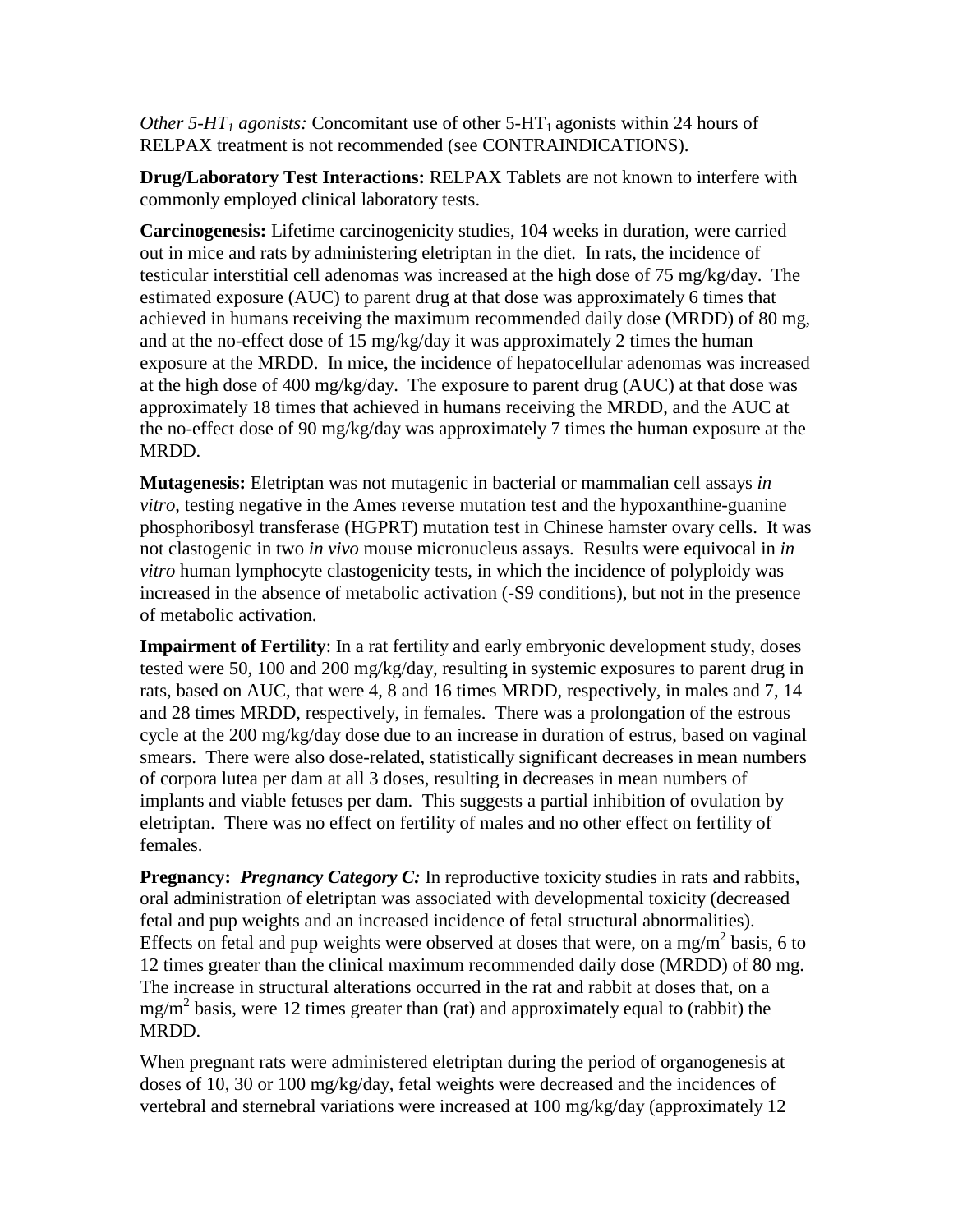*Other 5-HT<sub>1</sub> agonists:* Concomitant use of other 5-HT<sub>1</sub> agonists within 24 hours of RELPAX treatment is not recommended (see CONTRAINDICATIONS).

**Drug/Laboratory Test Interactions:** RELPAX Tablets are not known to interfere with commonly employed clinical laboratory tests.

**Carcinogenesis:** Lifetime carcinogenicity studies, 104 weeks in duration, were carried out in mice and rats by administering eletriptan in the diet. In rats, the incidence of testicular interstitial cell adenomas was increased at the high dose of 75 mg/kg/day. The estimated exposure (AUC) to parent drug at that dose was approximately 6 times that achieved in humans receiving the maximum recommended daily dose (MRDD) of 80 mg, and at the no-effect dose of 15 mg/kg/day it was approximately 2 times the human exposure at the MRDD. In mice, the incidence of hepatocellular adenomas was increased at the high dose of 400 mg/kg/day. The exposure to parent drug (AUC) at that dose was approximately 18 times that achieved in humans receiving the MRDD, and the AUC at the no-effect dose of 90 mg/kg/day was approximately 7 times the human exposure at the MRDD.

**Mutagenesis:** Eletriptan was not mutagenic in bacterial or mammalian cell assays *in vitro*, testing negative in the Ames reverse mutation test and the hypoxanthine-guanine phosphoribosyl transferase (HGPRT) mutation test in Chinese hamster ovary cells. It was not clastogenic in two *in vivo* mouse micronucleus assays. Results were equivocal in *in vitro* human lymphocyte clastogenicity tests, in which the incidence of polyploidy was increased in the absence of metabolic activation (-S9 conditions), but not in the presence of metabolic activation.

**Impairment of Fertility**: In a rat fertility and early embryonic development study, doses tested were 50, 100 and 200 mg/kg/day, resulting in systemic exposures to parent drug in rats, based on AUC, that were 4, 8 and 16 times MRDD, respectively, in males and 7, 14 and 28 times MRDD, respectively, in females. There was a prolongation of the estrous cycle at the 200 mg/kg/day dose due to an increase in duration of estrus, based on vaginal smears. There were also dose-related, statistically significant decreases in mean numbers of corpora lutea per dam at all 3 doses, resulting in decreases in mean numbers of implants and viable fetuses per dam. This suggests a partial inhibition of ovulation by eletriptan. There was no effect on fertility of males and no other effect on fertility of females.

**Pregnancy:** *Pregnancy Category C:* In reproductive toxicity studies in rats and rabbits, oral administration of eletriptan was associated with developmental toxicity (decreased fetal and pup weights and an increased incidence of fetal structural abnormalities). Effects on fetal and pup weights were observed at doses that were, on a mg/m<sup>2</sup> basis, 6 to 12 times greater than the clinical maximum recommended daily dose (MRDD) of 80 mg. The increase in structural alterations occurred in the rat and rabbit at doses that, on a  $mg/m<sup>2</sup>$  basis, were 12 times greater than (rat) and approximately equal to (rabbit) the MRDD.

When pregnant rats were administered eletriptan during the period of organogenesis at doses of 10, 30 or 100 mg/kg/day, fetal weights were decreased and the incidences of vertebral and sternebral variations were increased at 100 mg/kg/day (approximately 12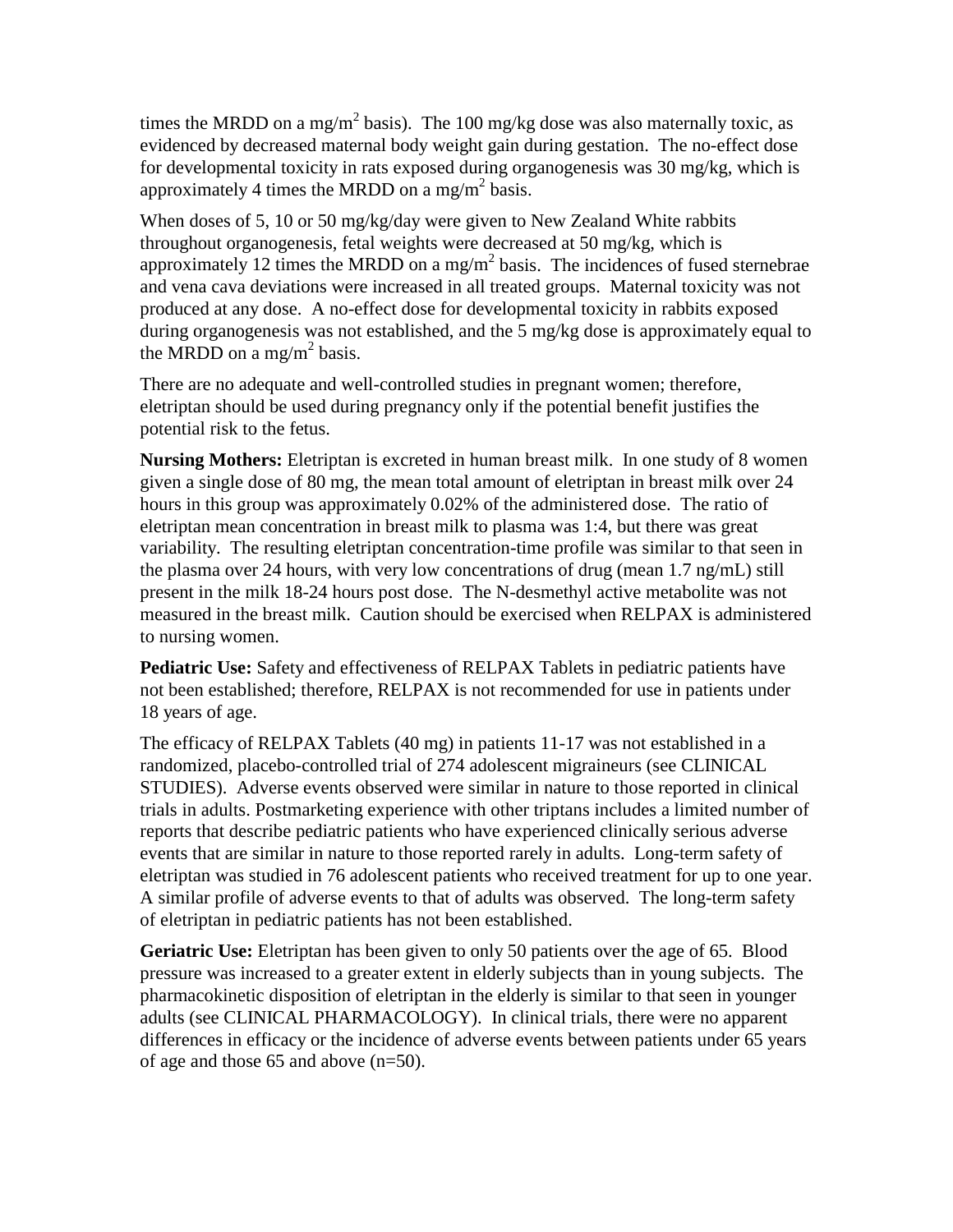times the MRDD on a mg/m<sup>2</sup> basis). The 100 mg/kg dose was also maternally toxic, as evidenced by decreased maternal body weight gain during gestation. The no-effect dose for developmental toxicity in rats exposed during organogenesis was 30 mg/kg, which is approximately 4 times the MRDD on a mg/m<sup>2</sup> basis.

When doses of 5, 10 or 50 mg/kg/day were given to New Zealand White rabbits throughout organogenesis, fetal weights were decreased at 50 mg/kg, which is approximately 12 times the MRDD on a mg/m<sup>2</sup> basis. The incidences of fused sternebrae and vena cava deviations were increased in all treated groups. Maternal toxicity was not produced at any dose. A no-effect dose for developmental toxicity in rabbits exposed during organogenesis was not established, and the 5 mg/kg dose is approximately equal to the MRDD on a mg/m<sup>2</sup> basis.

There are no adequate and well-controlled studies in pregnant women; therefore, eletriptan should be used during pregnancy only if the potential benefit justifies the potential risk to the fetus.

**Nursing Mothers:** Eletriptan is excreted in human breast milk. In one study of 8 women given a single dose of 80 mg, the mean total amount of eletriptan in breast milk over 24 hours in this group was approximately 0.02% of the administered dose. The ratio of eletriptan mean concentration in breast milk to plasma was 1:4, but there was great variability. The resulting eletriptan concentration-time profile was similar to that seen in the plasma over 24 hours, with very low concentrations of drug (mean 1.7 ng/mL) still present in the milk 18-24 hours post dose. The N-desmethyl active metabolite was not measured in the breast milk. Caution should be exercised when RELPAX is administered to nursing women.

**Pediatric Use:** Safety and effectiveness of RELPAX Tablets in pediatric patients have not been established; therefore, RELPAX is not recommended for use in patients under 18 years of age.

The efficacy of RELPAX Tablets (40 mg) in patients 11-17 was not established in a randomized, placebo-controlled trial of 274 adolescent migraineurs (see CLINICAL STUDIES). Adverse events observed were similar in nature to those reported in clinical trials in adults. Postmarketing experience with other triptans includes a limited number of reports that describe pediatric patients who have experienced clinically serious adverse events that are similar in nature to those reported rarely in adults. Long-term safety of eletriptan was studied in 76 adolescent patients who received treatment for up to one year. A similar profile of adverse events to that of adults was observed. The long-term safety of eletriptan in pediatric patients has not been established.

**Geriatric Use:** Eletriptan has been given to only 50 patients over the age of 65. Blood pressure was increased to a greater extent in elderly subjects than in young subjects. The pharmacokinetic disposition of eletriptan in the elderly is similar to that seen in younger adults (see CLINICAL PHARMACOLOGY). In clinical trials, there were no apparent differences in efficacy or the incidence of adverse events between patients under 65 years of age and those 65 and above (n=50).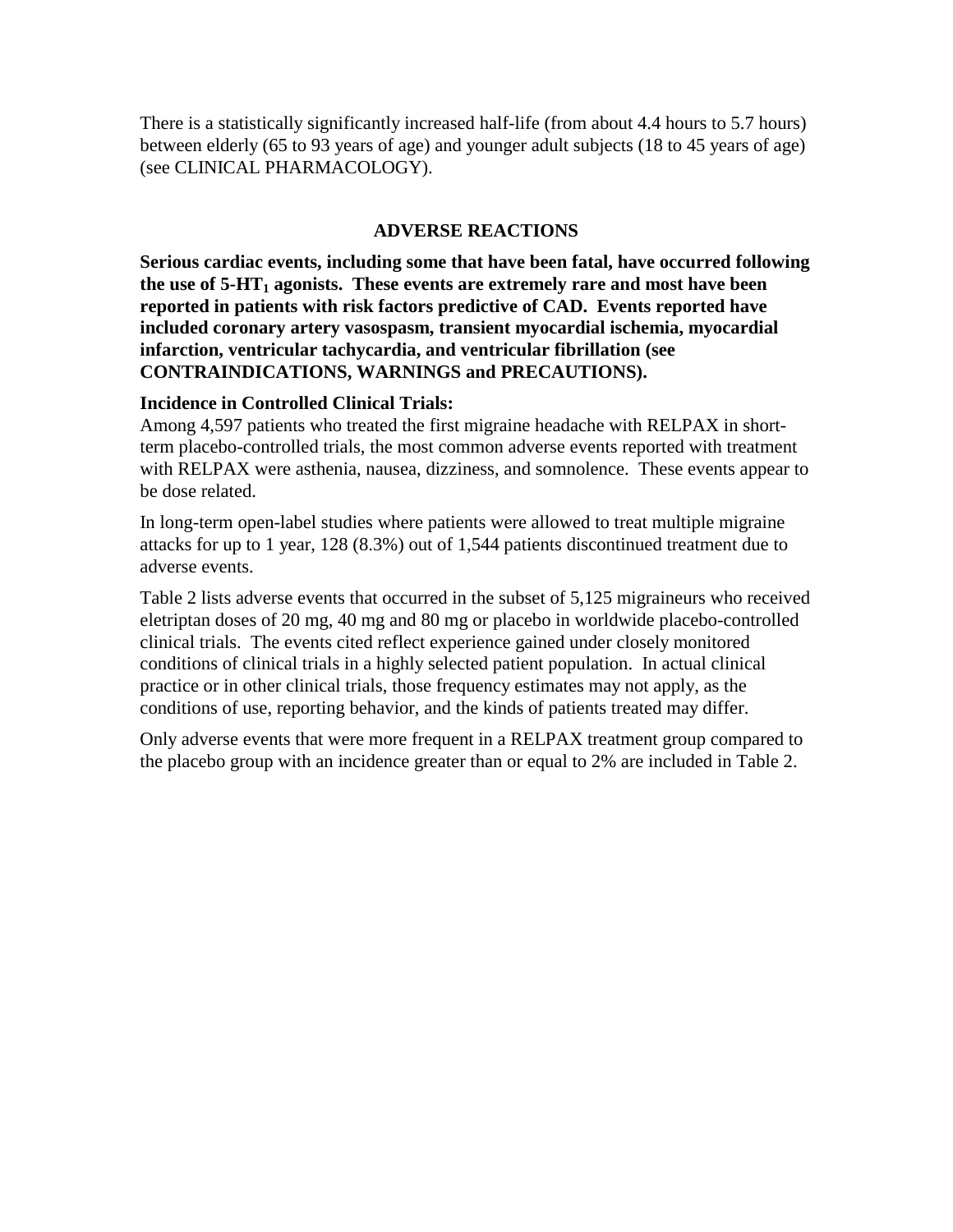There is a statistically significantly increased half-life (from about 4.4 hours to 5.7 hours) between elderly (65 to 93 years of age) and younger adult subjects (18 to 45 years of age) (see CLINICAL PHARMACOLOGY).

#### **ADVERSE REACTIONS**

**Serious cardiac events, including some that have been fatal, have occurred following**  the use of 5-HT<sub>1</sub> agonists. These events are extremely rare and most have been **reported in patients with risk factors predictive of CAD. Events reported have included coronary artery vasospasm, transient myocardial ischemia, myocardial infarction, ventricular tachycardia, and ventricular fibrillation (see CONTRAINDICATIONS, WARNINGS and PRECAUTIONS).** 

#### **Incidence in Controlled Clinical Trials:**

Among 4,597 patients who treated the first migraine headache with RELPAX in shortterm placebo-controlled trials, the most common adverse events reported with treatment with RELPAX were asthenia, nausea, dizziness, and somnolence. These events appear to be dose related.

In long-term open-label studies where patients were allowed to treat multiple migraine attacks for up to 1 year, 128 (8.3%) out of 1,544 patients discontinued treatment due to adverse events.

Table 2 lists adverse events that occurred in the subset of 5,125 migraineurs who received eletriptan doses of 20 mg, 40 mg and 80 mg or placebo in worldwide placebo-controlled clinical trials. The events cited reflect experience gained under closely monitored conditions of clinical trials in a highly selected patient population. In actual clinical practice or in other clinical trials, those frequency estimates may not apply, as the conditions of use, reporting behavior, and the kinds of patients treated may differ.

Only adverse events that were more frequent in a RELPAX treatment group compared to the placebo group with an incidence greater than or equal to 2% are included in Table 2.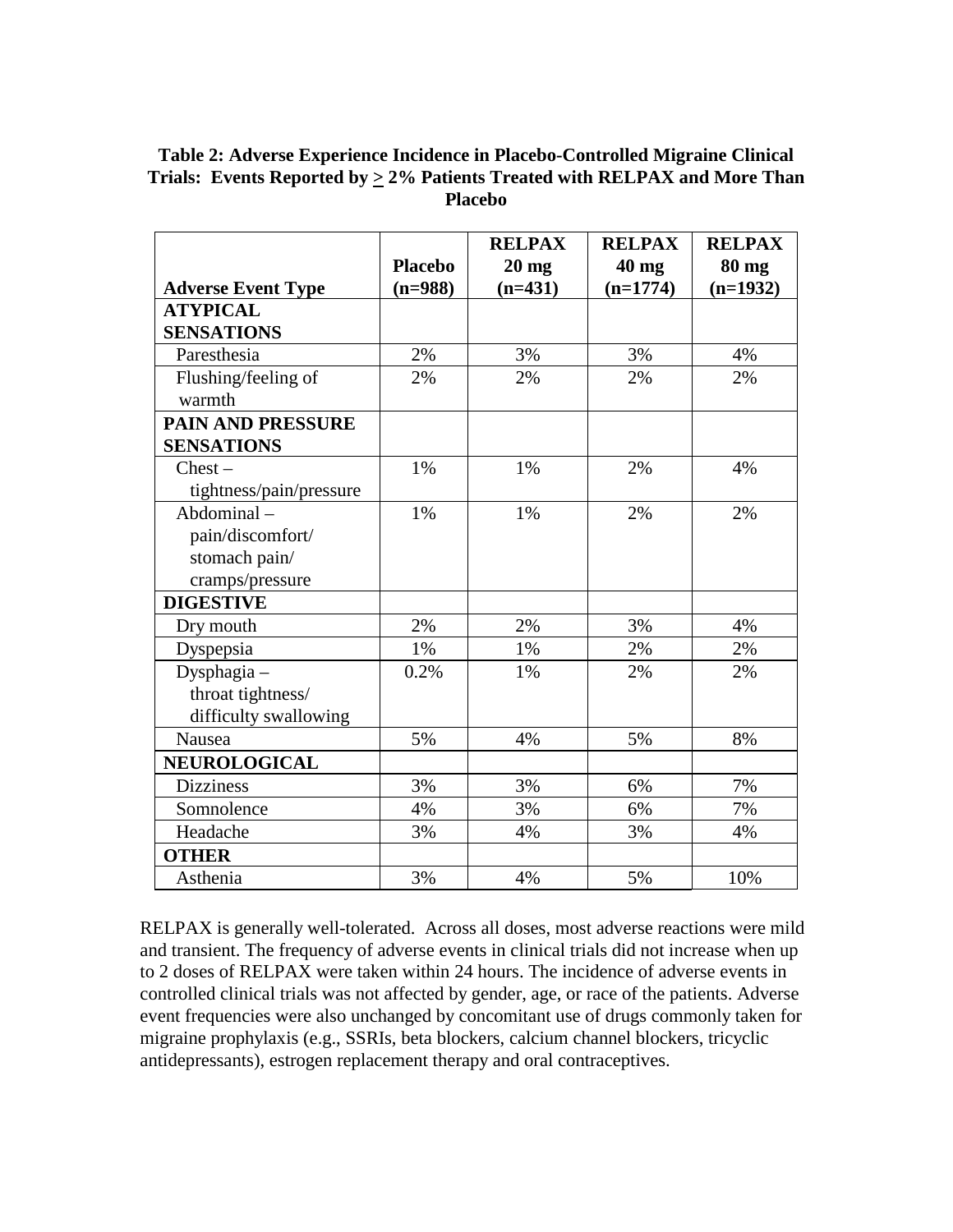#### **Table 2: Adverse Experience Incidence in Placebo-Controlled Migraine Clinical Trials: Events Reported by**  $\geq$  **2% Patients Treated with RELPAX and More Than Placebo**

|                           |                | <b>RELPAX</b> | <b>RELPAX</b> | <b>RELPAX</b> |
|---------------------------|----------------|---------------|---------------|---------------|
|                           | <b>Placebo</b> | $20$ mg       | 40 mg         | <b>80 mg</b>  |
| <b>Adverse Event Type</b> | $(n=988)$      | $(n=431)$     | $(n=1774)$    | $(n=1932)$    |
| <b>ATYPICAL</b>           |                |               |               |               |
| <b>SENSATIONS</b>         |                |               |               |               |
| Paresthesia               | 2%             | 3%            | 3%            | 4%            |
| Flushing/feeling of       | 2%             | 2%            | 2%            | 2%            |
| warmth                    |                |               |               |               |
| <b>PAIN AND PRESSURE</b>  |                |               |               |               |
| <b>SENSATIONS</b>         |                |               |               |               |
| Check –                   | 1%             | 1%            | 2%            | 4%            |
| tightness/pain/pressure   |                |               |               |               |
| Abdominal-                | 1%             | 1%            | 2%            | 2%            |
| pain/discomfort/          |                |               |               |               |
| stomach pain/             |                |               |               |               |
| cramps/pressure           |                |               |               |               |
| <b>DIGESTIVE</b>          |                |               |               |               |
| Dry mouth                 | 2%             | 2%            | 3%            | 4%            |
| Dyspepsia                 | 1%             | 1%            | 2%            | 2%            |
| Dysphagia-                | 0.2%           | 1%            | 2%            | 2%            |
| throat tightness/         |                |               |               |               |
| difficulty swallowing     |                |               |               |               |
| Nausea                    | 5%             | 4%            | 5%            | 8%            |
| <b>NEUROLOGICAL</b>       |                |               |               |               |
| <b>Dizziness</b>          | 3%             | 3%            | 6%            | 7%            |
| Somnolence                | 4%             | 3%            | 6%            | 7%            |
| Headache                  | 3%             | 4%            | 3%            | 4%            |
| <b>OTHER</b>              |                |               |               |               |
| Asthenia                  | 3%             | 4%            | 5%            | 10%           |

RELPAX is generally well-tolerated. Across all doses, most adverse reactions were mild and transient. The frequency of adverse events in clinical trials did not increase when up to 2 doses of RELPAX were taken within 24 hours. The incidence of adverse events in controlled clinical trials was not affected by gender, age, or race of the patients. Adverse event frequencies were also unchanged by concomitant use of drugs commonly taken for migraine prophylaxis (e.g., SSRIs, beta blockers, calcium channel blockers, tricyclic antidepressants), estrogen replacement therapy and oral contraceptives.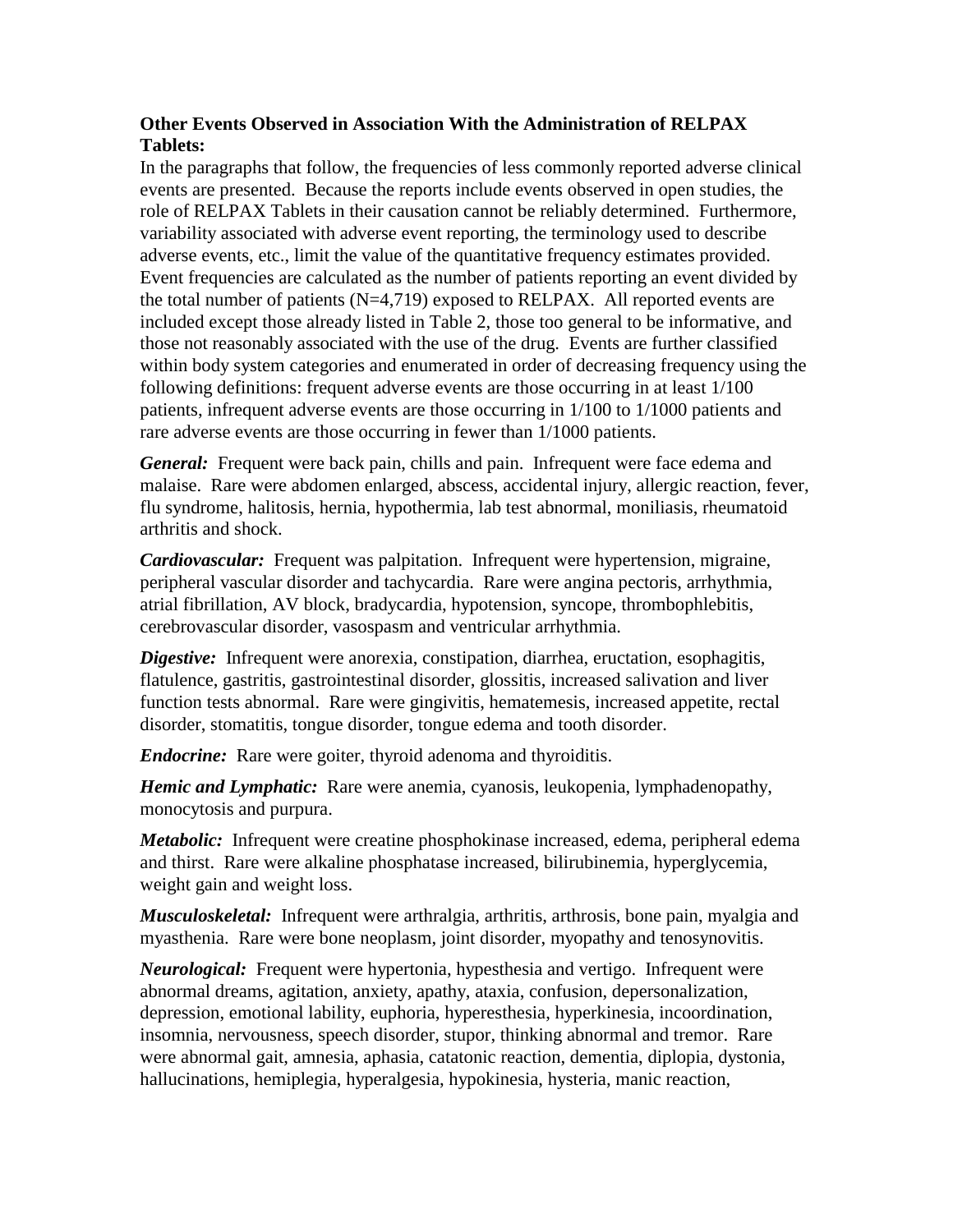## **Other Events Observed in Association With the Administration of RELPAX Tablets:**

In the paragraphs that follow, the frequencies of less commonly reported adverse clinical events are presented. Because the reports include events observed in open studies, the role of RELPAX Tablets in their causation cannot be reliably determined. Furthermore, variability associated with adverse event reporting, the terminology used to describe adverse events, etc., limit the value of the quantitative frequency estimates provided. Event frequencies are calculated as the number of patients reporting an event divided by the total number of patients  $(N=4,719)$  exposed to RELPAX. All reported events are included except those already listed in Table 2, those too general to be informative, and those not reasonably associated with the use of the drug. Events are further classified within body system categories and enumerated in order of decreasing frequency using the following definitions: frequent adverse events are those occurring in at least 1/100 patients, infrequent adverse events are those occurring in 1/100 to 1/1000 patients and rare adverse events are those occurring in fewer than 1/1000 patients.

*General:* Frequent were back pain, chills and pain. Infrequent were face edema and malaise. Rare were abdomen enlarged, abscess, accidental injury, allergic reaction, fever, flu syndrome, halitosis, hernia, hypothermia, lab test abnormal, moniliasis, rheumatoid arthritis and shock.

*Cardiovascular:* Frequent was palpitation. Infrequent were hypertension, migraine, peripheral vascular disorder and tachycardia. Rare were angina pectoris, arrhythmia, atrial fibrillation, AV block, bradycardia, hypotension, syncope, thrombophlebitis, cerebrovascular disorder, vasospasm and ventricular arrhythmia.

*Digestive:* Infrequent were anorexia, constipation, diarrhea, eructation, esophagitis, flatulence, gastritis, gastrointestinal disorder, glossitis, increased salivation and liver function tests abnormal. Rare were gingivitis, hematemesis, increased appetite, rectal disorder, stomatitis, tongue disorder, tongue edema and tooth disorder.

*Endocrine:* Rare were goiter, thyroid adenoma and thyroiditis.

*Hemic and Lymphatic:* Rare were anemia, cyanosis, leukopenia, lymphadenopathy, monocytosis and purpura.

*Metabolic:* Infrequent were creatine phosphokinase increased, edema, peripheral edema and thirst. Rare were alkaline phosphatase increased, bilirubinemia, hyperglycemia, weight gain and weight loss.

*Musculoskeletal:* Infrequent were arthralgia, arthritis, arthrosis, bone pain, myalgia and myasthenia. Rare were bone neoplasm, joint disorder, myopathy and tenosynovitis.

*Neurological:* Frequent were hypertonia, hypesthesia and vertigo. Infrequent were abnormal dreams, agitation, anxiety, apathy, ataxia, confusion, depersonalization, depression, emotional lability, euphoria, hyperesthesia, hyperkinesia, incoordination, insomnia, nervousness, speech disorder, stupor, thinking abnormal and tremor. Rare were abnormal gait, amnesia, aphasia, catatonic reaction, dementia, diplopia, dystonia, hallucinations, hemiplegia, hyperalgesia, hypokinesia, hysteria, manic reaction,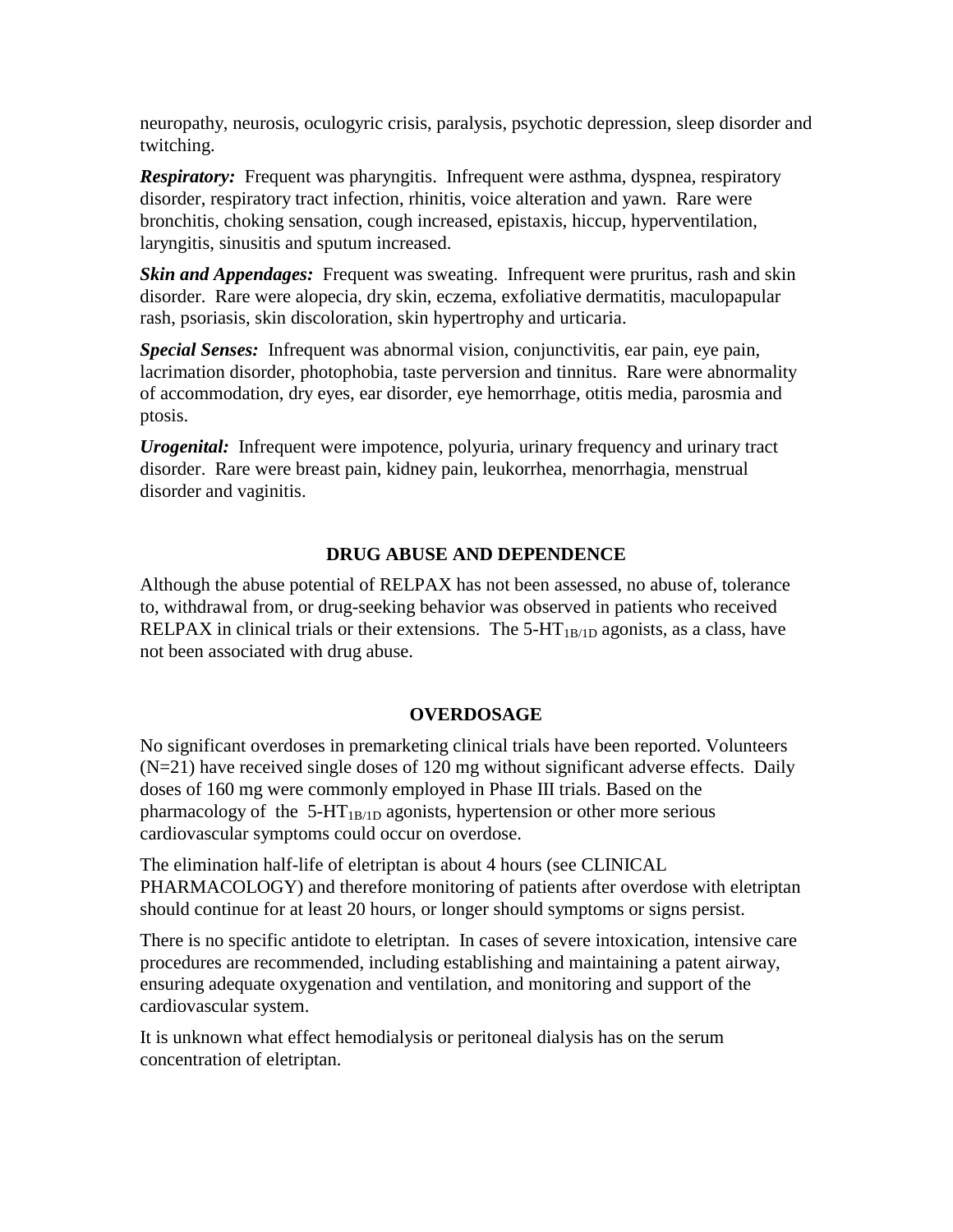neuropathy, neurosis, oculogyric crisis, paralysis, psychotic depression, sleep disorder and twitching.

*Respiratory:* Frequent was pharyngitis. Infrequent were asthma, dyspnea, respiratory disorder, respiratory tract infection, rhinitis, voice alteration and yawn. Rare were bronchitis, choking sensation, cough increased, epistaxis, hiccup, hyperventilation, laryngitis, sinusitis and sputum increased.

*Skin and Appendages:* Frequent was sweating. Infrequent were pruritus, rash and skin disorder. Rare were alopecia, dry skin, eczema, exfoliative dermatitis, maculopapular rash, psoriasis, skin discoloration, skin hypertrophy and urticaria.

*Special Senses:* Infrequent was abnormal vision, conjunctivitis, ear pain, eye pain, lacrimation disorder, photophobia, taste perversion and tinnitus. Rare were abnormality of accommodation, dry eyes, ear disorder, eye hemorrhage, otitis media, parosmia and ptosis.

*Urogenital:* Infrequent were impotence, polyuria, urinary frequency and urinary tract disorder. Rare were breast pain, kidney pain, leukorrhea, menorrhagia, menstrual disorder and vaginitis.

#### **DRUG ABUSE AND DEPENDENCE**

Although the abuse potential of RELPAX has not been assessed, no abuse of, tolerance to, withdrawal from, or drug-seeking behavior was observed in patients who received RELPAX in clinical trials or their extensions. The 5-HT<sub>1B/1D</sub> agonists, as a class, have not been associated with drug abuse.

#### **OVERDOSAGE**

No significant overdoses in premarketing clinical trials have been reported. Volunteers (N=21) have received single doses of 120 mg without significant adverse effects. Daily doses of 160 mg were commonly employed in Phase III trials. Based on the pharmacology of the  $5-HT_{1B/1D}$  agonists, hypertension or other more serious cardiovascular symptoms could occur on overdose.

The elimination half-life of eletriptan is about 4 hours (see CLINICAL PHARMACOLOGY) and therefore monitoring of patients after overdose with eletriptan should continue for at least 20 hours, or longer should symptoms or signs persist.

There is no specific antidote to eletriptan. In cases of severe intoxication, intensive care procedures are recommended, including establishing and maintaining a patent airway, ensuring adequate oxygenation and ventilation, and monitoring and support of the cardiovascular system.

It is unknown what effect hemodialysis or peritoneal dialysis has on the serum concentration of eletriptan.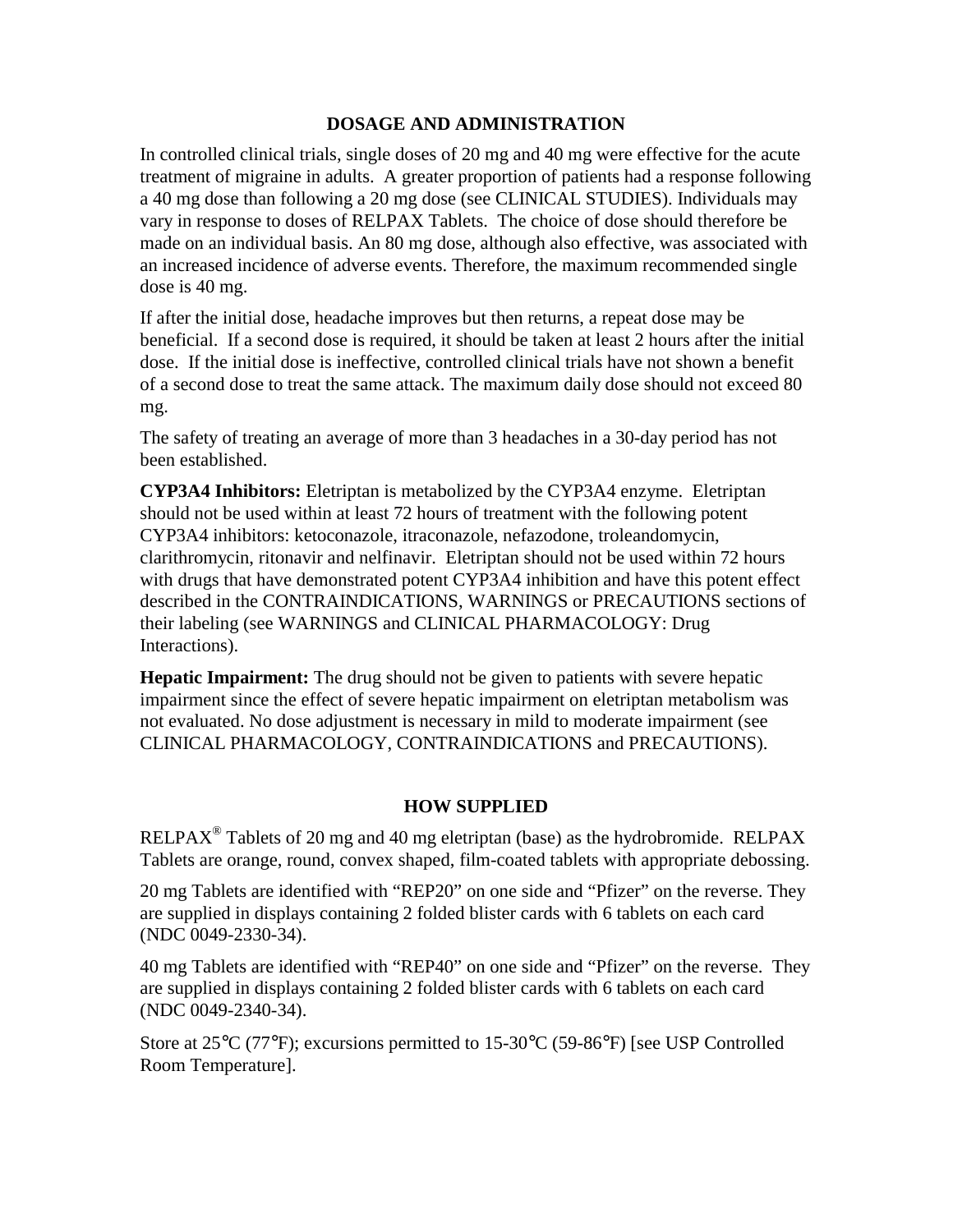#### **DOSAGE AND ADMINISTRATION**

In controlled clinical trials, single doses of 20 mg and 40 mg were effective for the acute treatment of migraine in adults. A greater proportion of patients had a response following a 40 mg dose than following a 20 mg dose (see CLINICAL STUDIES). Individuals may vary in response to doses of RELPAX Tablets. The choice of dose should therefore be made on an individual basis. An 80 mg dose, although also effective, was associated with an increased incidence of adverse events. Therefore, the maximum recommended single dose is 40 mg.

If after the initial dose, headache improves but then returns, a repeat dose may be beneficial. If a second dose is required, it should be taken at least 2 hours after the initial dose. If the initial dose is ineffective, controlled clinical trials have not shown a benefit of a second dose to treat the same attack. The maximum daily dose should not exceed 80 mg.

The safety of treating an average of more than 3 headaches in a 30-day period has not been established.

**CYP3A4 Inhibitors:** Eletriptan is metabolized by the CYP3A4 enzyme. Eletriptan should not be used within at least 72 hours of treatment with the following potent CYP3A4 inhibitors: ketoconazole, itraconazole, nefazodone, troleandomycin, clarithromycin, ritonavir and nelfinavir. Eletriptan should not be used within 72 hours with drugs that have demonstrated potent CYP3A4 inhibition and have this potent effect described in the CONTRAINDICATIONS, WARNINGS or PRECAUTIONS sections of their labeling (see WARNINGS and CLINICAL PHARMACOLOGY: Drug Interactions).

**Hepatic Impairment:** The drug should not be given to patients with severe hepatic impairment since the effect of severe hepatic impairment on eletriptan metabolism was not evaluated. No dose adjustment is necessary in mild to moderate impairment (see CLINICAL PHARMACOLOGY, CONTRAINDICATIONS and PRECAUTIONS).

#### **HOW SUPPLIED**

RELPAX<sup>®</sup> Tablets of 20 mg and 40 mg eletriptan (base) as the hydrobromide. RELPAX Tablets are orange, round, convex shaped, film-coated tablets with appropriate debossing.

20 mg Tablets are identified with "REP20" on one side and "Pfizer" on the reverse. They are supplied in displays containing 2 folded blister cards with 6 tablets on each card (NDC 0049-2330-34).

40 mg Tablets are identified with "REP40" on one side and "Pfizer" on the reverse. They are supplied in displays containing 2 folded blister cards with 6 tablets on each card (NDC 0049-2340-34).

Store at 25°C (77°F); excursions permitted to 15-30°C (59-86°F) [see USP Controlled Room Temperature].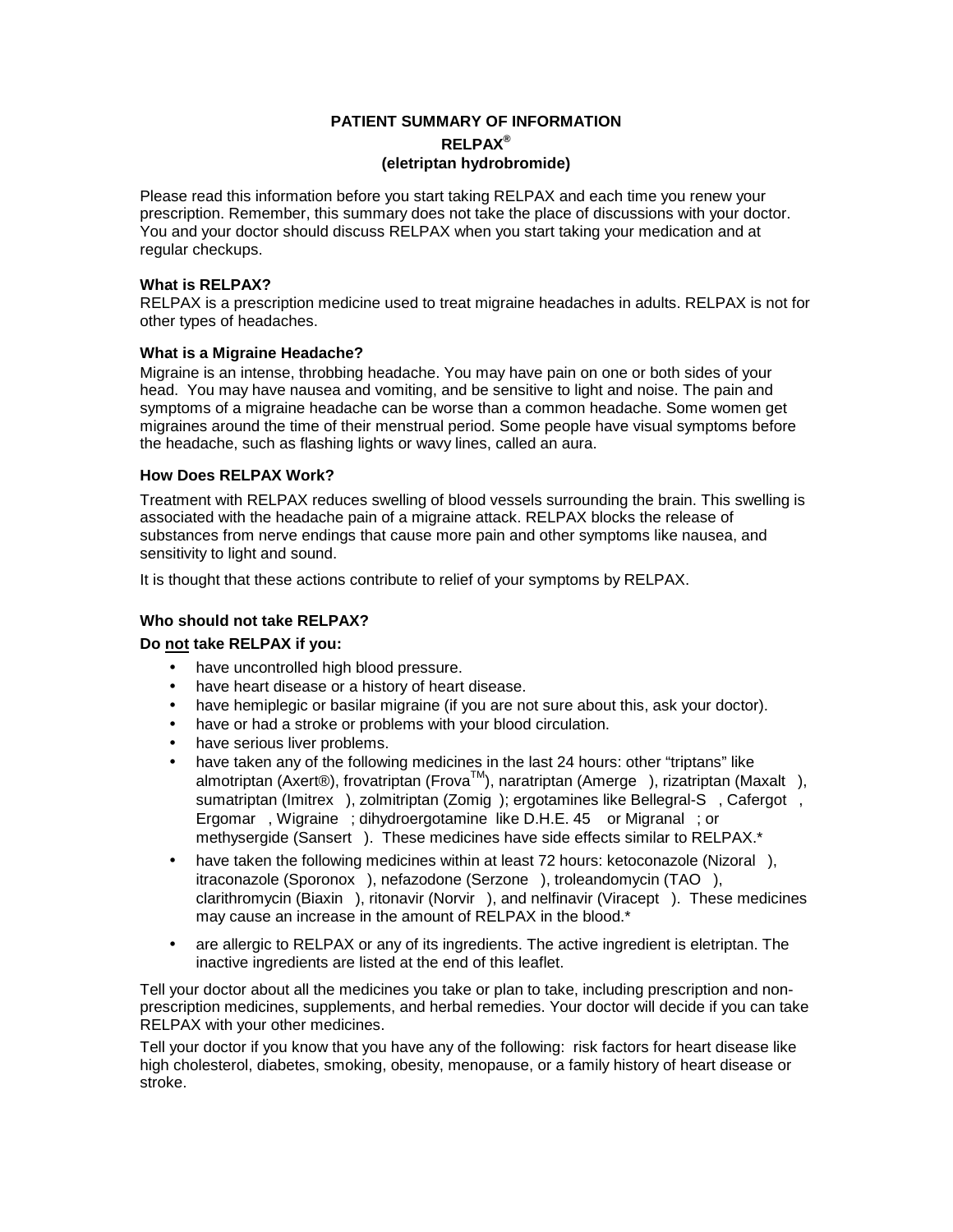#### **PATIENT SUMMARY OF INFORMATION RELPAX® (eletriptan hydrobromide)**

Please read this information before you start taking RELPAX and each time you renew your prescription. Remember, this summary does not take the place of discussions with your doctor. You and your doctor should discuss RELPAX when you start taking your medication and at regular checkups.

#### **What is RELPAX?**

RELPAX is a prescription medicine used to treat migraine headaches in adults. RELPAX is not for other types of headaches.

#### **What is a Migraine Headache?**

Migraine is an intense, throbbing headache. You may have pain on one or both sides of your head. You may have nausea and vomiting, and be sensitive to light and noise. The pain and symptoms of a migraine headache can be worse than a common headache. Some women get migraines around the time of their menstrual period. Some people have visual symptoms before the headache, such as flashing lights or wavy lines, called an aura.

#### **How Does RELPAX Work?**

Treatment with RELPAX reduces swelling of blood vessels surrounding the brain. This swelling is associated with the headache pain of a migraine attack. RELPAX blocks the release of substances from nerve endings that cause more pain and other symptoms like nausea, and sensitivity to light and sound.

It is thought that these actions contribute to relief of your symptoms by RELPAX.

#### **Who should not take RELPAX?**

#### **Do not take RELPAX if you:**

- have uncontrolled high blood pressure.
- have heart disease or a history of heart disease.
- have hemiplegic or basilar migraine (if you are not sure about this, ask your doctor).
- have or had a stroke or problems with your blood circulation.
- have serious liver problems.
- have taken any of the following medicines in the last 24 hours: other "triptans" like almotriptan (Axert®), frovatriptan (Frova™), naratriptan (Amerge®), rizatriptan (Maxalt®), sumatriptan (Imitrex®), zolmitriptan (Zomig®); ergotamines like Bellegral-S®, Cafergot®, Ergomar®, Wigraine®; dihydroergotamine like D.H.E. 45<sup>®</sup> or Migranal®; or methysergide (Sansert®). These medicines have side effects similar to RELPAX.\*
- have taken the following medicines within at least 72 hours: ketoconazole (Nizoral®), itraconazole (Sporonox®), nefazodone (Serzone®), troleandomycin (TAO®), clarithromycin (Biaxin®), ritonavir (Norvir®), and nelfinavir (Viracept®). These medicines may cause an increase in the amount of RELPAX in the blood.\*
- are allergic to RELPAX or any of its ingredients. The active ingredient is eletriptan. The inactive ingredients are listed at the end of this leaflet.

Tell your doctor about all the medicines you take or plan to take, including prescription and nonprescription medicines, supplements, and herbal remedies. Your doctor will decide if you can take RELPAX with your other medicines.

Tell your doctor if you know that you have any of the following:risk factors for heart disease like high cholesterol, diabetes, smoking, obesity, menopause, or a family history of heart disease or stroke.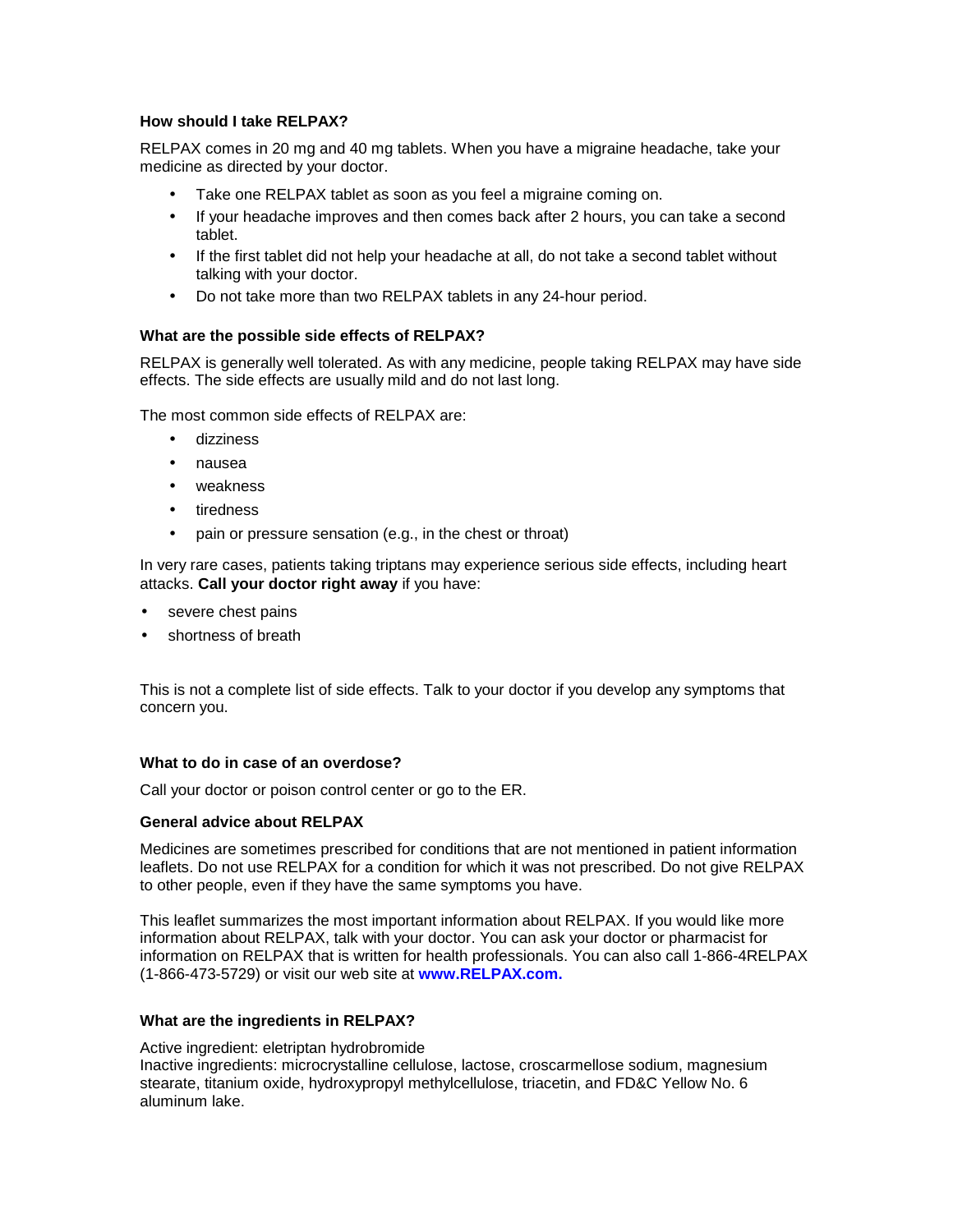#### **How should I take RELPAX?**

RELPAX comes in 20 mg and 40 mg tablets. When you have a migraine headache, take your medicine as directed by your doctor.

- Take one RELPAX tablet as soon as you feel a migraine coming on.
- If your headache improves and then comes back after 2 hours, you can take a second tablet.
- If the first tablet did not help your headache at all, do not take a second tablet without talking with your doctor.
- Do not take more than two RELPAX tablets in any 24-hour period.

#### **What are the possible side effects of RELPAX?**

RELPAX is generally well tolerated. As with any medicine, people taking RELPAX may have side effects. The side effects are usually mild and do not last long.

The most common side effects of RELPAX are:

- dizziness
- nausea
- weakness
- tiredness
- pain or pressure sensation (e.g., in the chest or throat)

In very rare cases, patients taking triptans may experience serious side effects, including heart attacks. **Call your doctor right away** if you have:

- severe chest pains
- shortness of breath

This is not a complete list of side effects. Talk to your doctor if you develop any symptoms that concern you.

#### **What to do in case of an overdose?**

Call your doctor or poison control center or go to the ER.

#### **General advice about RELPAX**

Medicines are sometimes prescribed for conditions that are not mentioned in patient information leaflets. Do not use RELPAX for a condition for which it was not prescribed. Do not give RELPAX to other people, even if they have the same symptoms you have.

This leaflet summarizes the most important information about RELPAX. If you would like more information about RELPAX, talk with your doctor. You can ask your doctor or pharmacist for information on RELPAX that is written for health professionals. You can also call 1-866-4RELPAX (1-866-473-5729) or visit our web site at **www.RELPAX.com.** 

#### **What are the ingredients in RELPAX?**

Active ingredient: eletriptan hydrobromide

Inactive ingredients: microcrystalline cellulose, lactose, croscarmellose sodium, magnesium stearate, titanium oxide, hydroxypropyl methylcellulose, triacetin, and FD&C Yellow No. 6 aluminum lake.